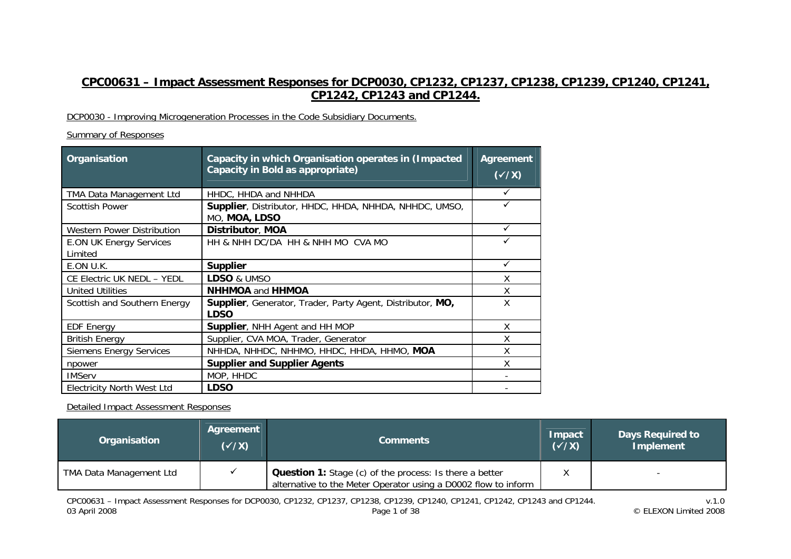# **CPC00631 – Impact Assessment Responses for DCP0030, CP1232, CP1237, CP1238, CP1239, CP1240, CP1241, CP1242, CP1243 and CP1244.**

## DCP0030 - Improving Microgeneration Processes in the Code Subsidiary Documents.

## Summary of Responses

| Organisation                              | Capacity in which Organisation operates in (Impacted<br>Capacity in Bold as appropriate) | Agreement<br>$(\sqrt{X})$ |
|-------------------------------------------|------------------------------------------------------------------------------------------|---------------------------|
| TMA Data Management Ltd                   | HHDC, HHDA and NHHDA                                                                     | ✓                         |
| <b>Scottish Power</b>                     | Supplier, Distributor, HHDC, HHDA, NHHDA, NHHDC, UMSO,<br>MO, MOA, LDSO                  | ✓                         |
| <b>Western Power Distribution</b>         | Distributor, MOA                                                                         | $\checkmark$              |
| <b>E.ON UK Energy Services</b><br>Limited | HH & NHH DC/DA HH & NHH MO CVA MO                                                        | ✓                         |
| E.ON U.K.                                 | <b>Supplier</b>                                                                          | ✓                         |
| CE Electric UK NEDL - YEDL                | LDSO & UMSO                                                                              | X                         |
| <b>United Utilities</b>                   | <b>NHHMOA and HHMOA</b>                                                                  | χ                         |
| Scottish and Southern Energy              | Supplier, Generator, Trader, Party Agent, Distributor, MO,<br><b>LDSO</b>                | X                         |
| <b>EDF Energy</b>                         | Supplier, NHH Agent and HH MOP                                                           | X                         |
| <b>British Energy</b>                     | Supplier, CVA MOA, Trader, Generator                                                     | X                         |
| <b>Siemens Energy Services</b>            | NHHDA, NHHDC, NHHMO, HHDC, HHDA, HHMO, MOA                                               | χ                         |
| npower                                    | <b>Supplier and Supplier Agents</b>                                                      | χ                         |
| <b>IMServ</b>                             | MOP, HHDC                                                                                |                           |
| <b>Electricity North West Ltd</b>         | <b>LDSO</b>                                                                              |                           |

Detailed Impact Assessment Responses

| Organisation            | Agreement<br>$(\sqrt{X})$ | <b>Comments</b>                                                                                                                  | Impact<br>$(\sqrt{X})$ | <b>Days Required to</b><br><b>Implement</b> |
|-------------------------|---------------------------|----------------------------------------------------------------------------------------------------------------------------------|------------------------|---------------------------------------------|
| TMA Data Management Ltd |                           | <b>Question 1:</b> Stage (c) of the process: Is there a better<br>alternative to the Meter Operator using a D0002 flow to inform |                        |                                             |

v.1.0<br>v.1.0<br>CELEXON Limited 2008 Page 1 of 38 Page 1 of 38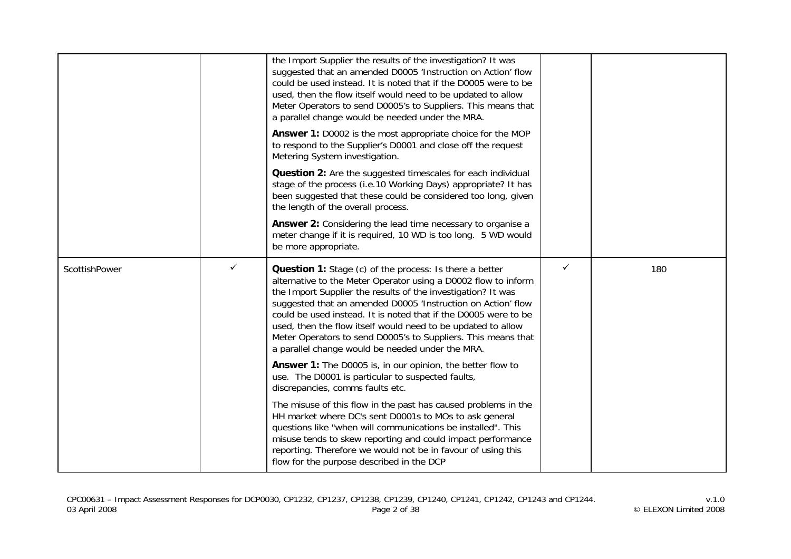|               |   | the Import Supplier the results of the investigation? It was<br>suggested that an amended D0005 'Instruction on Action' flow<br>could be used instead. It is noted that if the D0005 were to be<br>used, then the flow itself would need to be updated to allow<br>Meter Operators to send D0005's to Suppliers. This means that<br>a parallel change would be needed under the MRA.<br>Answer 1: D0002 is the most appropriate choice for the MOP<br>to respond to the Supplier's D0001 and close off the request<br>Metering System investigation.<br>Question 2: Are the suggested timescales for each individual<br>stage of the process (i.e.10 Working Days) appropriate? It has<br>been suggested that these could be considered too long, given<br>the length of the overall process.<br>Answer 2: Considering the lead time necessary to organise a<br>meter change if it is required, 10 WD is too long. 5 WD would<br>be more appropriate.                                                                                                   |              |     |
|---------------|---|---------------------------------------------------------------------------------------------------------------------------------------------------------------------------------------------------------------------------------------------------------------------------------------------------------------------------------------------------------------------------------------------------------------------------------------------------------------------------------------------------------------------------------------------------------------------------------------------------------------------------------------------------------------------------------------------------------------------------------------------------------------------------------------------------------------------------------------------------------------------------------------------------------------------------------------------------------------------------------------------------------------------------------------------------------|--------------|-----|
| ScottishPower | ✓ | <b>Question 1:</b> Stage (c) of the process: Is there a better<br>alternative to the Meter Operator using a D0002 flow to inform<br>the Import Supplier the results of the investigation? It was<br>suggested that an amended D0005 'Instruction on Action' flow<br>could be used instead. It is noted that if the D0005 were to be<br>used, then the flow itself would need to be updated to allow<br>Meter Operators to send D0005's to Suppliers. This means that<br>a parallel change would be needed under the MRA.<br>Answer 1: The D0005 is, in our opinion, the better flow to<br>use. The D0001 is particular to suspected faults,<br>discrepancies, comms faults etc.<br>The misuse of this flow in the past has caused problems in the<br>HH market where DC's sent D0001s to MOs to ask general<br>questions like "when will communications be installed". This<br>misuse tends to skew reporting and could impact performance<br>reporting. Therefore we would not be in favour of using this<br>flow for the purpose described in the DCP | $\checkmark$ | 180 |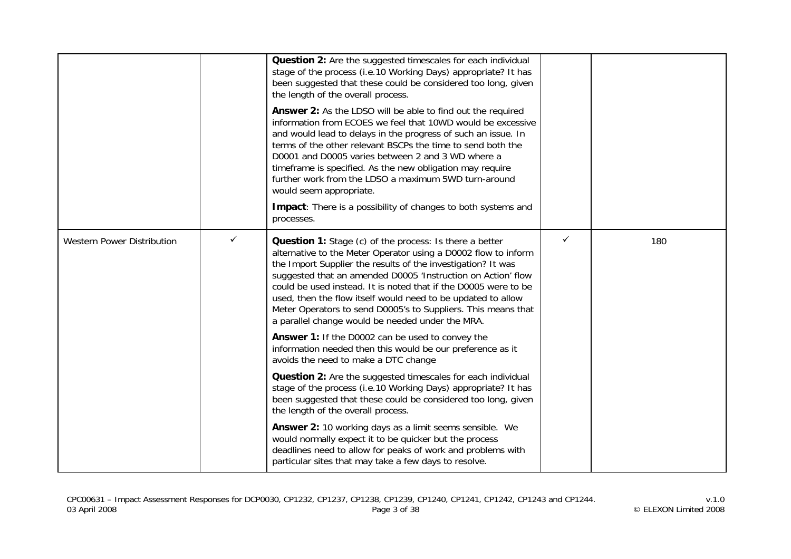|                                   |   | Question 2: Are the suggested timescales for each individual<br>stage of the process (i.e.10 Working Days) appropriate? It has<br>been suggested that these could be considered too long, given<br>the length of the overall process.<br>Answer 2: As the LDSO will be able to find out the required<br>information from ECOES we feel that 10WD would be excessive<br>and would lead to delays in the progress of such an issue. In<br>terms of the other relevant BSCPs the time to send both the<br>D0001 and D0005 varies between 2 and 3 WD where a<br>timeframe is specified. As the new obligation may require<br>further work from the LDSO a maximum 5WD turn-around<br>would seem appropriate.<br>Impact: There is a possibility of changes to both systems and<br>processes. |   |     |
|-----------------------------------|---|-----------------------------------------------------------------------------------------------------------------------------------------------------------------------------------------------------------------------------------------------------------------------------------------------------------------------------------------------------------------------------------------------------------------------------------------------------------------------------------------------------------------------------------------------------------------------------------------------------------------------------------------------------------------------------------------------------------------------------------------------------------------------------------------|---|-----|
| <b>Western Power Distribution</b> | ✓ | Question 1: Stage (c) of the process: Is there a better<br>alternative to the Meter Operator using a D0002 flow to inform<br>the Import Supplier the results of the investigation? It was<br>suggested that an amended D0005 'Instruction on Action' flow<br>could be used instead. It is noted that if the D0005 were to be<br>used, then the flow itself would need to be updated to allow<br>Meter Operators to send D0005's to Suppliers. This means that<br>a parallel change would be needed under the MRA.<br>Answer 1: If the D0002 can be used to convey the<br>information needed then this would be our preference as it<br>avoids the need to make a DTC change                                                                                                             | ✓ | 180 |
|                                   |   | <b>Question 2:</b> Are the suggested timescales for each individual<br>stage of the process (i.e.10 Working Days) appropriate? It has<br>been suggested that these could be considered too long, given<br>the length of the overall process.                                                                                                                                                                                                                                                                                                                                                                                                                                                                                                                                            |   |     |
|                                   |   | <b>Answer 2:</b> 10 working days as a limit seems sensible. We<br>would normally expect it to be quicker but the process<br>deadlines need to allow for peaks of work and problems with<br>particular sites that may take a few days to resolve.                                                                                                                                                                                                                                                                                                                                                                                                                                                                                                                                        |   |     |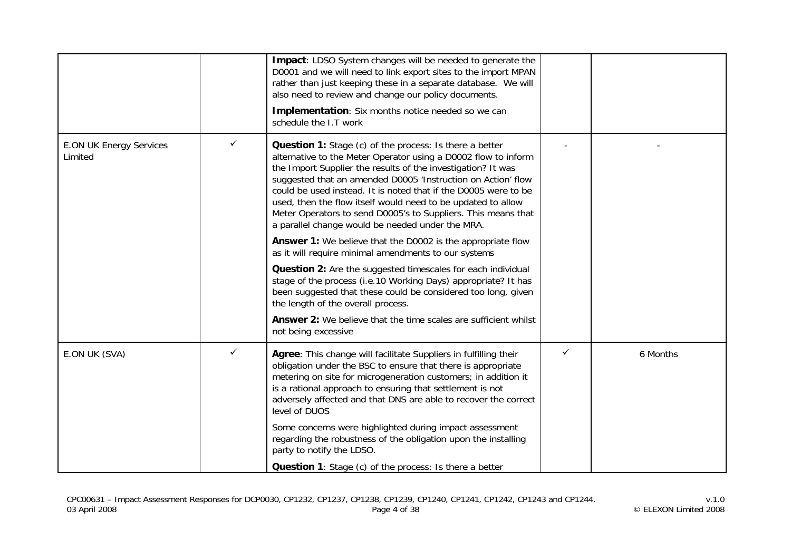|                                           |   | Impact: LDSO System changes will be needed to generate the<br>D0001 and we will need to link export sites to the import MPAN<br>rather than just keeping these in a separate database. We will<br>also need to review and change our policy documents.<br>Implementation: Six months notice needed so we can<br>schedule the I.T work                                                                                                                                                                                                                                                   |              |          |
|-------------------------------------------|---|-----------------------------------------------------------------------------------------------------------------------------------------------------------------------------------------------------------------------------------------------------------------------------------------------------------------------------------------------------------------------------------------------------------------------------------------------------------------------------------------------------------------------------------------------------------------------------------------|--------------|----------|
| <b>E.ON UK Energy Services</b><br>Limited |   | <b>Question 1:</b> Stage (c) of the process: Is there a better<br>alternative to the Meter Operator using a D0002 flow to inform<br>the Import Supplier the results of the investigation? It was<br>suggested that an amended D0005 'Instruction on Action' flow<br>could be used instead. It is noted that if the D0005 were to be<br>used, then the flow itself would need to be updated to allow<br>Meter Operators to send D0005's to Suppliers. This means that<br>a parallel change would be needed under the MRA.<br>Answer 1: We believe that the D0002 is the appropriate flow |              |          |
|                                           |   | as it will require minimal amendments to our systems<br>Question 2: Are the suggested timescales for each individual<br>stage of the process (i.e.10 Working Days) appropriate? It has<br>been suggested that these could be considered too long, given<br>the length of the overall process.<br>Answer 2: We believe that the time scales are sufficient whilst<br>not being excessive                                                                                                                                                                                                 |              |          |
| E.ON UK (SVA)                             | ✓ | Agree: This change will facilitate Suppliers in fulfilling their<br>obligation under the BSC to ensure that there is appropriate<br>metering on site for microgeneration customers; in addition it<br>is a rational approach to ensuring that settlement is not<br>adversely affected and that DNS are able to recover the correct<br>level of DUOS<br>Some concerns were highlighted during impact assessment<br>regarding the robustness of the obligation upon the installing<br>party to notify the LDSO.<br><b>Question 1:</b> Stage (c) of the process: Is there a better         | $\checkmark$ | 6 Months |

v.1.0<br>v.1.0<br>Page 4 of 38 Page 4 of 38 Page 4 of 38 CP1241, CP1242, CP1243 and CP1244.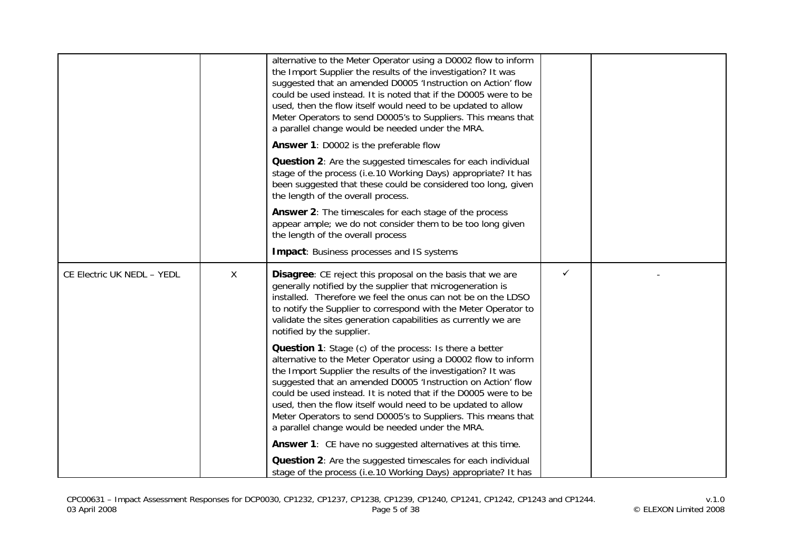|                            |              | alternative to the Meter Operator using a D0002 flow to inform<br>the Import Supplier the results of the investigation? It was<br>suggested that an amended D0005 'Instruction on Action' flow<br>could be used instead. It is noted that if the D0005 were to be<br>used, then the flow itself would need to be updated to allow<br>Meter Operators to send D0005's to Suppliers. This means that<br>a parallel change would be needed under the MRA.                                                            |              |  |
|----------------------------|--------------|-------------------------------------------------------------------------------------------------------------------------------------------------------------------------------------------------------------------------------------------------------------------------------------------------------------------------------------------------------------------------------------------------------------------------------------------------------------------------------------------------------------------|--------------|--|
|                            |              | Answer 1: D0002 is the preferable flow                                                                                                                                                                                                                                                                                                                                                                                                                                                                            |              |  |
|                            |              | Question 2: Are the suggested timescales for each individual<br>stage of the process (i.e.10 Working Days) appropriate? It has<br>been suggested that these could be considered too long, given<br>the length of the overall process.                                                                                                                                                                                                                                                                             |              |  |
|                            |              | Answer 2: The timescales for each stage of the process<br>appear ample; we do not consider them to be too long given<br>the length of the overall process                                                                                                                                                                                                                                                                                                                                                         |              |  |
|                            |              | <b>Impact:</b> Business processes and IS systems                                                                                                                                                                                                                                                                                                                                                                                                                                                                  |              |  |
| CE Electric UK NEDL - YEDL | $\mathsf{X}$ | Disagree: CE reject this proposal on the basis that we are<br>generally notified by the supplier that microgeneration is<br>installed. Therefore we feel the onus can not be on the LDSO<br>to notify the Supplier to correspond with the Meter Operator to<br>validate the sites generation capabilities as currently we are<br>notified by the supplier.                                                                                                                                                        | $\checkmark$ |  |
|                            |              | Question 1: Stage (c) of the process: Is there a better<br>alternative to the Meter Operator using a D0002 flow to inform<br>the Import Supplier the results of the investigation? It was<br>suggested that an amended D0005 'Instruction on Action' flow<br>could be used instead. It is noted that if the D0005 were to be<br>used, then the flow itself would need to be updated to allow<br>Meter Operators to send D0005's to Suppliers. This means that<br>a parallel change would be needed under the MRA. |              |  |
|                            |              | Answer 1: CE have no suggested alternatives at this time.                                                                                                                                                                                                                                                                                                                                                                                                                                                         |              |  |
|                            |              | <b>Question 2:</b> Are the suggested timescales for each individual<br>stage of the process (i.e.10 Working Days) appropriate? It has                                                                                                                                                                                                                                                                                                                                                                             |              |  |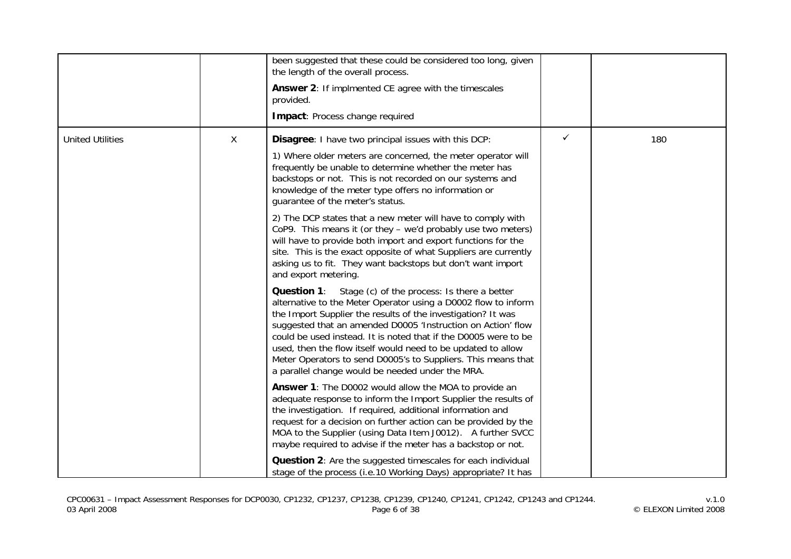|                         |   | been suggested that these could be considered too long, given<br>the length of the overall process.<br>Answer 2: If implmented CE agree with the timescales<br>provided.<br>Impact: Process change required                                                                                                                                                                                                                                                                                                              |              |     |
|-------------------------|---|--------------------------------------------------------------------------------------------------------------------------------------------------------------------------------------------------------------------------------------------------------------------------------------------------------------------------------------------------------------------------------------------------------------------------------------------------------------------------------------------------------------------------|--------------|-----|
| <b>United Utilities</b> | X | <b>Disagree:</b> I have two principal issues with this DCP:<br>1) Where older meters are concerned, the meter operator will<br>frequently be unable to determine whether the meter has<br>backstops or not. This is not recorded on our systems and<br>knowledge of the meter type offers no information or<br>guarantee of the meter's status.                                                                                                                                                                          | $\checkmark$ | 180 |
|                         |   | 2) The DCP states that a new meter will have to comply with<br>CoP9. This means it (or they - we'd probably use two meters)<br>will have to provide both import and export functions for the<br>site. This is the exact opposite of what Suppliers are currently<br>asking us to fit. They want backstops but don't want import<br>and export metering.                                                                                                                                                                  |              |     |
|                         |   | <b>Question 1:</b> Stage (c) of the process: Is there a better<br>alternative to the Meter Operator using a D0002 flow to inform<br>the Import Supplier the results of the investigation? It was<br>suggested that an amended D0005 'Instruction on Action' flow<br>could be used instead. It is noted that if the D0005 were to be<br>used, then the flow itself would need to be updated to allow<br>Meter Operators to send D0005's to Suppliers. This means that<br>a parallel change would be needed under the MRA. |              |     |
|                         |   | <b>Answer 1:</b> The D0002 would allow the MOA to provide an<br>adequate response to inform the Import Supplier the results of<br>the investigation. If required, additional information and<br>request for a decision on further action can be provided by the<br>MOA to the Supplier (using Data Item J0012). A further SVCC<br>maybe required to advise if the meter has a backstop or not.                                                                                                                           |              |     |
|                         |   | <b>Question 2:</b> Are the suggested timescales for each individual<br>stage of the process (i.e.10 Working Days) appropriate? It has                                                                                                                                                                                                                                                                                                                                                                                    |              |     |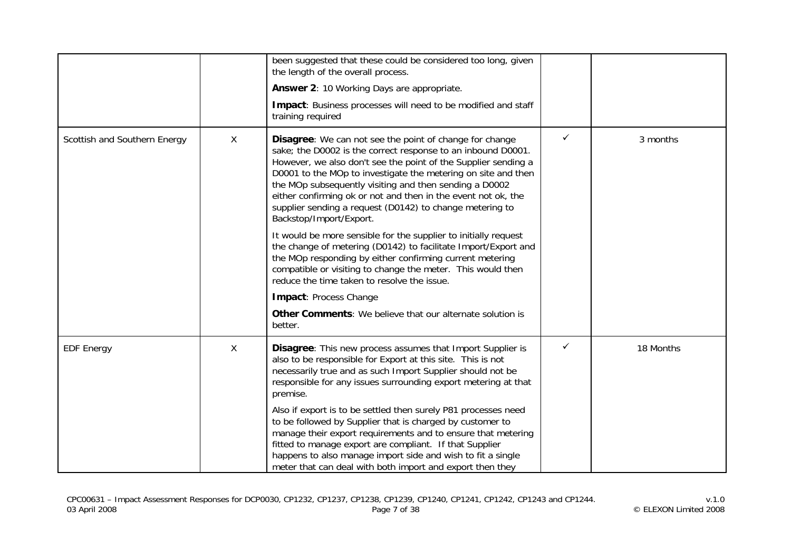|                              |   | been suggested that these could be considered too long, given<br>the length of the overall process.                                                                                                                                                                                                                                                                                                                                                                                                                                                                                                                                                                                                                                          |              |           |
|------------------------------|---|----------------------------------------------------------------------------------------------------------------------------------------------------------------------------------------------------------------------------------------------------------------------------------------------------------------------------------------------------------------------------------------------------------------------------------------------------------------------------------------------------------------------------------------------------------------------------------------------------------------------------------------------------------------------------------------------------------------------------------------------|--------------|-----------|
|                              |   | Answer 2: 10 Working Days are appropriate.                                                                                                                                                                                                                                                                                                                                                                                                                                                                                                                                                                                                                                                                                                   |              |           |
|                              |   | Impact: Business processes will need to be modified and staff<br>training required                                                                                                                                                                                                                                                                                                                                                                                                                                                                                                                                                                                                                                                           |              |           |
| Scottish and Southern Energy | X | Disagree: We can not see the point of change for change<br>sake; the D0002 is the correct response to an inbound D0001.<br>However, we also don't see the point of the Supplier sending a<br>D0001 to the MOp to investigate the metering on site and then<br>the MOp subsequently visiting and then sending a D0002<br>either confirming ok or not and then in the event not ok, the<br>supplier sending a request (D0142) to change metering to<br>Backstop/Import/Export.<br>It would be more sensible for the supplier to initially request<br>the change of metering (D0142) to facilitate Import/Export and<br>the MOp responding by either confirming current metering<br>compatible or visiting to change the meter. This would then | $\checkmark$ | 3 months  |
|                              |   | reduce the time taken to resolve the issue.                                                                                                                                                                                                                                                                                                                                                                                                                                                                                                                                                                                                                                                                                                  |              |           |
|                              |   | Impact: Process Change                                                                                                                                                                                                                                                                                                                                                                                                                                                                                                                                                                                                                                                                                                                       |              |           |
|                              |   | Other Comments: We believe that our alternate solution is<br>better.                                                                                                                                                                                                                                                                                                                                                                                                                                                                                                                                                                                                                                                                         |              |           |
| <b>EDF Energy</b>            | X | Disagree: This new process assumes that Import Supplier is<br>also to be responsible for Export at this site. This is not<br>necessarily true and as such Import Supplier should not be<br>responsible for any issues surrounding export metering at that<br>premise.                                                                                                                                                                                                                                                                                                                                                                                                                                                                        | ✓            | 18 Months |
|                              |   | Also if export is to be settled then surely P81 processes need<br>to be followed by Supplier that is charged by customer to<br>manage their export requirements and to ensure that metering<br>fitted to manage export are compliant. If that Supplier<br>happens to also manage import side and wish to fit a single<br>meter that can deal with both import and export then they                                                                                                                                                                                                                                                                                                                                                           |              |           |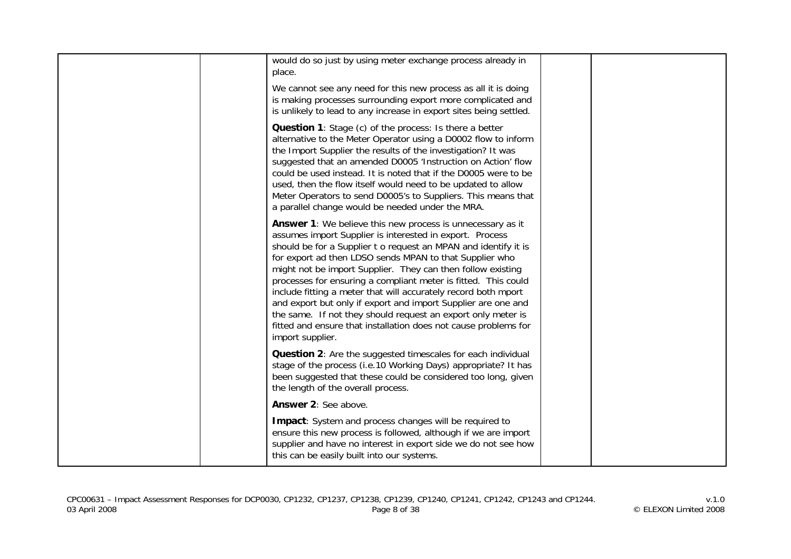| would do so just by using meter exchange process already in<br>place.<br>We cannot see any need for this new process as all it is doing<br>is making processes surrounding export more complicated and<br>is unlikely to lead to any increase in export sites being settled.                                                                                                                                                                                                                                                                                                                                                                                                           |  |
|----------------------------------------------------------------------------------------------------------------------------------------------------------------------------------------------------------------------------------------------------------------------------------------------------------------------------------------------------------------------------------------------------------------------------------------------------------------------------------------------------------------------------------------------------------------------------------------------------------------------------------------------------------------------------------------|--|
| <b>Question 1:</b> Stage (c) of the process: Is there a better<br>alternative to the Meter Operator using a D0002 flow to inform<br>the Import Supplier the results of the investigation? It was<br>suggested that an amended D0005 'Instruction on Action' flow<br>could be used instead. It is noted that if the D0005 were to be<br>used, then the flow itself would need to be updated to allow<br>Meter Operators to send D0005's to Suppliers. This means that<br>a parallel change would be needed under the MRA.                                                                                                                                                               |  |
| <b>Answer 1:</b> We believe this new process is unnecessary as it<br>assumes import Supplier is interested in export. Process<br>should be for a Supplier t o request an MPAN and identify it is<br>for export ad then LDSO sends MPAN to that Supplier who<br>might not be import Supplier. They can then follow existing<br>processes for ensuring a compliant meter is fitted. This could<br>include fitting a meter that will accurately record both mport<br>and export but only if export and import Supplier are one and<br>the same. If not they should request an export only meter is<br>fitted and ensure that installation does not cause problems for<br>import supplier. |  |
| <b>Question 2:</b> Are the suggested timescales for each individual<br>stage of the process (i.e.10 Working Days) appropriate? It has<br>been suggested that these could be considered too long, given<br>the length of the overall process.                                                                                                                                                                                                                                                                                                                                                                                                                                           |  |
| Answer 2: See above.                                                                                                                                                                                                                                                                                                                                                                                                                                                                                                                                                                                                                                                                   |  |
| Impact: System and process changes will be required to<br>ensure this new process is followed, although if we are import<br>supplier and have no interest in export side we do not see how<br>this can be easily built into our systems.                                                                                                                                                                                                                                                                                                                                                                                                                                               |  |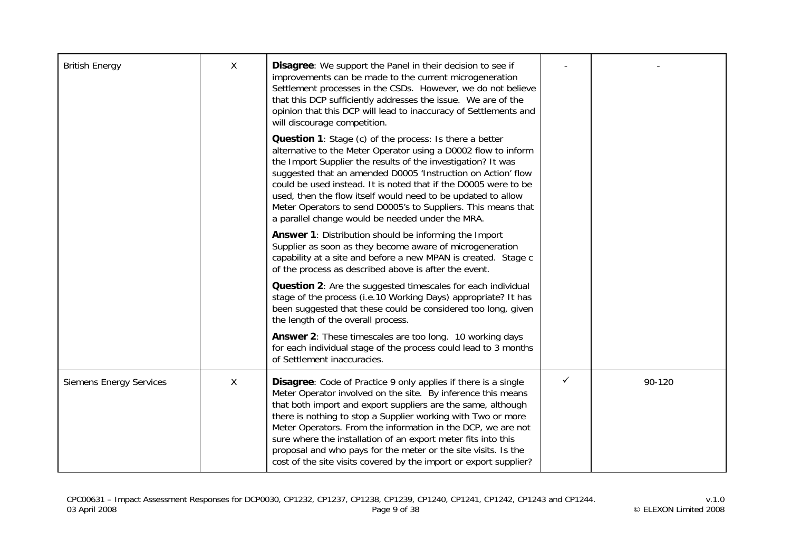| <b>British Energy</b>          | X | <b>Disagree:</b> We support the Panel in their decision to see if<br>improvements can be made to the current microgeneration<br>Settlement processes in the CSDs. However, we do not believe<br>that this DCP sufficiently addresses the issue. We are of the<br>opinion that this DCP will lead to inaccuracy of Settlements and<br>will discourage competition.                                                                                                                                                                             |              |        |
|--------------------------------|---|-----------------------------------------------------------------------------------------------------------------------------------------------------------------------------------------------------------------------------------------------------------------------------------------------------------------------------------------------------------------------------------------------------------------------------------------------------------------------------------------------------------------------------------------------|--------------|--------|
|                                |   | <b>Question 1:</b> Stage (c) of the process: Is there a better<br>alternative to the Meter Operator using a D0002 flow to inform<br>the Import Supplier the results of the investigation? It was<br>suggested that an amended D0005 'Instruction on Action' flow<br>could be used instead. It is noted that if the D0005 were to be<br>used, then the flow itself would need to be updated to allow<br>Meter Operators to send D0005's to Suppliers. This means that<br>a parallel change would be needed under the MRA.                      |              |        |
|                                |   | Answer 1: Distribution should be informing the Import<br>Supplier as soon as they become aware of microgeneration<br>capability at a site and before a new MPAN is created. Stage c<br>of the process as described above is after the event.                                                                                                                                                                                                                                                                                                  |              |        |
|                                |   | Question 2: Are the suggested timescales for each individual<br>stage of the process (i.e.10 Working Days) appropriate? It has<br>been suggested that these could be considered too long, given<br>the length of the overall process.                                                                                                                                                                                                                                                                                                         |              |        |
|                                |   | <b>Answer 2:</b> These timescales are too long. 10 working days<br>for each individual stage of the process could lead to 3 months<br>of Settlement inaccuracies.                                                                                                                                                                                                                                                                                                                                                                             |              |        |
| <b>Siemens Energy Services</b> | X | <b>Disagree:</b> Code of Practice 9 only applies if there is a single<br>Meter Operator involved on the site. By inference this means<br>that both import and export suppliers are the same, although<br>there is nothing to stop a Supplier working with Two or more<br>Meter Operators. From the information in the DCP, we are not<br>sure where the installation of an export meter fits into this<br>proposal and who pays for the meter or the site visits. Is the<br>cost of the site visits covered by the import or export supplier? | $\checkmark$ | 90-120 |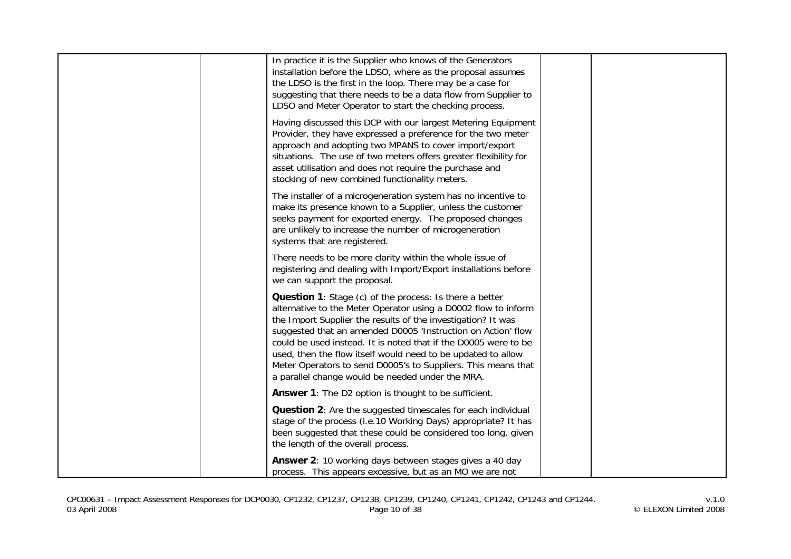| In practice it is the Supplier who knows of the Generators<br>installation before the LDSO, where as the proposal assumes<br>the LDSO is the first in the loop. There may be a case for<br>suggesting that there needs to be a data flow from Supplier to<br>LDSO and Meter Operator to start the checking process.                                                                                                                                                                                                      |  |
|--------------------------------------------------------------------------------------------------------------------------------------------------------------------------------------------------------------------------------------------------------------------------------------------------------------------------------------------------------------------------------------------------------------------------------------------------------------------------------------------------------------------------|--|
| Having discussed this DCP with our largest Metering Equipment<br>Provider, they have expressed a preference for the two meter<br>approach and adopting two MPANS to cover import/export<br>situations. The use of two meters offers greater flexibility for<br>asset utilisation and does not require the purchase and<br>stocking of new combined functionality meters.                                                                                                                                                 |  |
| The installer of a microgeneration system has no incentive to<br>make its presence known to a Supplier, unless the customer<br>seeks payment for exported energy. The proposed changes<br>are unlikely to increase the number of microgeneration<br>systems that are registered.                                                                                                                                                                                                                                         |  |
| There needs to be more clarity within the whole issue of<br>registering and dealing with Import/Export installations before<br>we can support the proposal.                                                                                                                                                                                                                                                                                                                                                              |  |
| <b>Question 1:</b> Stage (c) of the process: Is there a better<br>alternative to the Meter Operator using a D0002 flow to inform<br>the Import Supplier the results of the investigation? It was<br>suggested that an amended D0005 'Instruction on Action' flow<br>could be used instead. It is noted that if the D0005 were to be<br>used, then the flow itself would need to be updated to allow<br>Meter Operators to send D0005's to Suppliers. This means that<br>a parallel change would be needed under the MRA. |  |
| <b>Answer 1:</b> The D2 option is thought to be sufficient.                                                                                                                                                                                                                                                                                                                                                                                                                                                              |  |
| Question 2: Are the suggested timescales for each individual<br>stage of the process (i.e.10 Working Days) appropriate? It has<br>been suggested that these could be considered too long, given<br>the length of the overall process.                                                                                                                                                                                                                                                                                    |  |
| Answer 2: 10 working days between stages gives a 40 day<br>process. This appears excessive, but as an MO we are not                                                                                                                                                                                                                                                                                                                                                                                                      |  |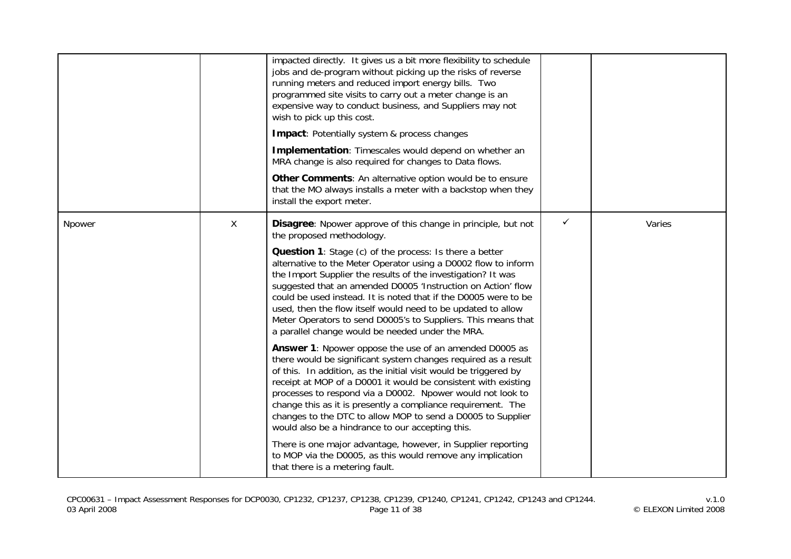|        |              | impacted directly. It gives us a bit more flexibility to schedule<br>jobs and de-program without picking up the risks of reverse<br>running meters and reduced import energy bills. Two<br>programmed site visits to carry out a meter change is an<br>expensive way to conduct business, and Suppliers may not<br>wish to pick up this cost.<br><b>Impact: Potentially system &amp; process changes</b><br>Implementation: Timescales would depend on whether an<br>MRA change is also required for changes to Data flows.<br>Other Comments: An alternative option would be to ensure<br>that the MO always installs a meter with a backstop when they<br>install the export meter.                                                                                                                                                                                                                                                                                                                                                                                                                                                                                                                                                                                                                      |              |        |
|--------|--------------|------------------------------------------------------------------------------------------------------------------------------------------------------------------------------------------------------------------------------------------------------------------------------------------------------------------------------------------------------------------------------------------------------------------------------------------------------------------------------------------------------------------------------------------------------------------------------------------------------------------------------------------------------------------------------------------------------------------------------------------------------------------------------------------------------------------------------------------------------------------------------------------------------------------------------------------------------------------------------------------------------------------------------------------------------------------------------------------------------------------------------------------------------------------------------------------------------------------------------------------------------------------------------------------------------------|--------------|--------|
| Npower | $\mathsf{X}$ | Disagree: Npower approve of this change in principle, but not<br>the proposed methodology.<br><b>Question 1:</b> Stage (c) of the process: Is there a better<br>alternative to the Meter Operator using a D0002 flow to inform<br>the Import Supplier the results of the investigation? It was<br>suggested that an amended D0005 'Instruction on Action' flow<br>could be used instead. It is noted that if the D0005 were to be<br>used, then the flow itself would need to be updated to allow<br>Meter Operators to send D0005's to Suppliers. This means that<br>a parallel change would be needed under the MRA.<br>Answer 1: Npower oppose the use of an amended D0005 as<br>there would be significant system changes required as a result<br>of this. In addition, as the initial visit would be triggered by<br>receipt at MOP of a D0001 it would be consistent with existing<br>processes to respond via a D0002. Npower would not look to<br>change this as it is presently a compliance requirement. The<br>changes to the DTC to allow MOP to send a D0005 to Supplier<br>would also be a hindrance to our accepting this.<br>There is one major advantage, however, in Supplier reporting<br>to MOP via the D0005, as this would remove any implication<br>that there is a metering fault. | $\checkmark$ | Varies |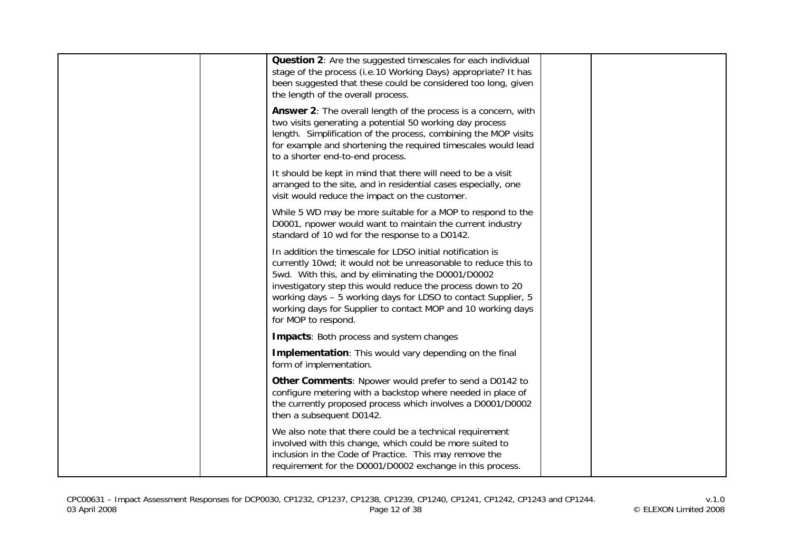| Question 2: Are the suggested timescales for each individual<br>stage of the process (i.e.10 Working Days) appropriate? It has<br>been suggested that these could be considered too long, given<br>the length of the overall process.                                                                                                                                                                     |  |
|-----------------------------------------------------------------------------------------------------------------------------------------------------------------------------------------------------------------------------------------------------------------------------------------------------------------------------------------------------------------------------------------------------------|--|
| Answer 2: The overall length of the process is a concern, with<br>two visits generating a potential 50 working day process<br>length. Simplification of the process, combining the MOP visits<br>for example and shortening the required timescales would lead<br>to a shorter end-to-end process.                                                                                                        |  |
| It should be kept in mind that there will need to be a visit<br>arranged to the site, and in residential cases especially, one<br>visit would reduce the impact on the customer.                                                                                                                                                                                                                          |  |
| While 5 WD may be more suitable for a MOP to respond to the<br>D0001, npower would want to maintain the current industry<br>standard of 10 wd for the response to a D0142.                                                                                                                                                                                                                                |  |
| In addition the timescale for LDSO initial notification is<br>currently 10wd; it would not be unreasonable to reduce this to<br>5wd. With this, and by eliminating the D0001/D0002<br>investigatory step this would reduce the process down to 20<br>working days - 5 working days for LDSO to contact Supplier, 5<br>working days for Supplier to contact MOP and 10 working days<br>for MOP to respond. |  |
| Impacts: Both process and system changes                                                                                                                                                                                                                                                                                                                                                                  |  |
| Implementation: This would vary depending on the final<br>form of implementation.                                                                                                                                                                                                                                                                                                                         |  |
| Other Comments: Npower would prefer to send a D0142 to<br>configure metering with a backstop where needed in place of<br>the currently proposed process which involves a D0001/D0002<br>then a subsequent D0142.                                                                                                                                                                                          |  |
| We also note that there could be a technical requirement<br>involved with this change, which could be more suited to<br>inclusion in the Code of Practice. This may remove the<br>requirement for the D0001/D0002 exchange in this process.                                                                                                                                                               |  |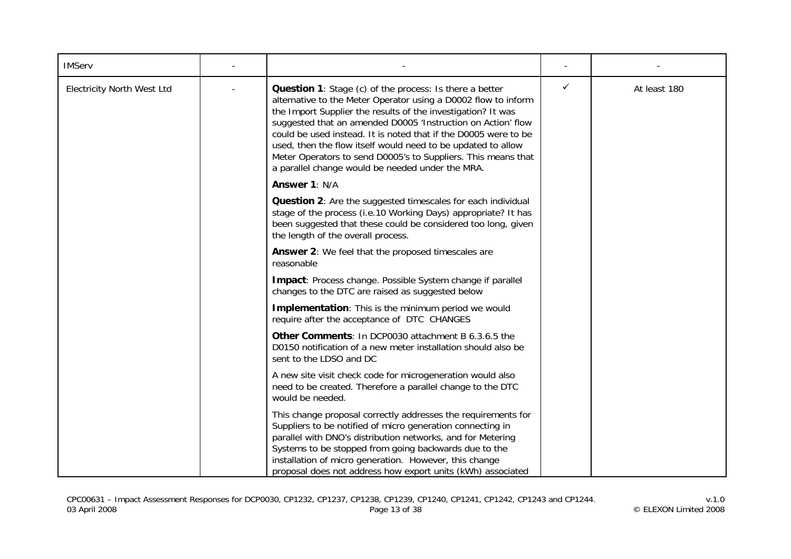| <b>IMServ</b>                     |                                                                                                                                                                                                                                                                                                                                                                                                                                                                                                                          |   |              |
|-----------------------------------|--------------------------------------------------------------------------------------------------------------------------------------------------------------------------------------------------------------------------------------------------------------------------------------------------------------------------------------------------------------------------------------------------------------------------------------------------------------------------------------------------------------------------|---|--------------|
| <b>Electricity North West Ltd</b> | <b>Question 1:</b> Stage (c) of the process: Is there a better<br>alternative to the Meter Operator using a D0002 flow to inform<br>the Import Supplier the results of the investigation? It was<br>suggested that an amended D0005 'Instruction on Action' flow<br>could be used instead. It is noted that if the D0005 were to be<br>used, then the flow itself would need to be updated to allow<br>Meter Operators to send D0005's to Suppliers. This means that<br>a parallel change would be needed under the MRA. | ✓ | At least 180 |
|                                   | Answer 1: N/A                                                                                                                                                                                                                                                                                                                                                                                                                                                                                                            |   |              |
|                                   | <b>Question 2:</b> Are the suggested timescales for each individual<br>stage of the process (i.e.10 Working Days) appropriate? It has<br>been suggested that these could be considered too long, given<br>the length of the overall process.                                                                                                                                                                                                                                                                             |   |              |
|                                   | Answer 2: We feel that the proposed timescales are<br>reasonable                                                                                                                                                                                                                                                                                                                                                                                                                                                         |   |              |
|                                   | Impact: Process change. Possible System change if parallel<br>changes to the DTC are raised as suggested below                                                                                                                                                                                                                                                                                                                                                                                                           |   |              |
|                                   | Implementation: This is the minimum period we would<br>require after the acceptance of DTC CHANGES                                                                                                                                                                                                                                                                                                                                                                                                                       |   |              |
|                                   | <b>Other Comments: In DCP0030 attachment B 6.3.6.5 the</b><br>D0150 notification of a new meter installation should also be<br>sent to the LDSO and DC                                                                                                                                                                                                                                                                                                                                                                   |   |              |
|                                   | A new site visit check code for microgeneration would also<br>need to be created. Therefore a parallel change to the DTC<br>would be needed.                                                                                                                                                                                                                                                                                                                                                                             |   |              |
|                                   | This change proposal correctly addresses the requirements for<br>Suppliers to be notified of micro generation connecting in<br>parallel with DNO's distribution networks, and for Metering<br>Systems to be stopped from going backwards due to the<br>installation of micro generation. However, this change<br>proposal does not address how export units (kWh) associated                                                                                                                                             |   |              |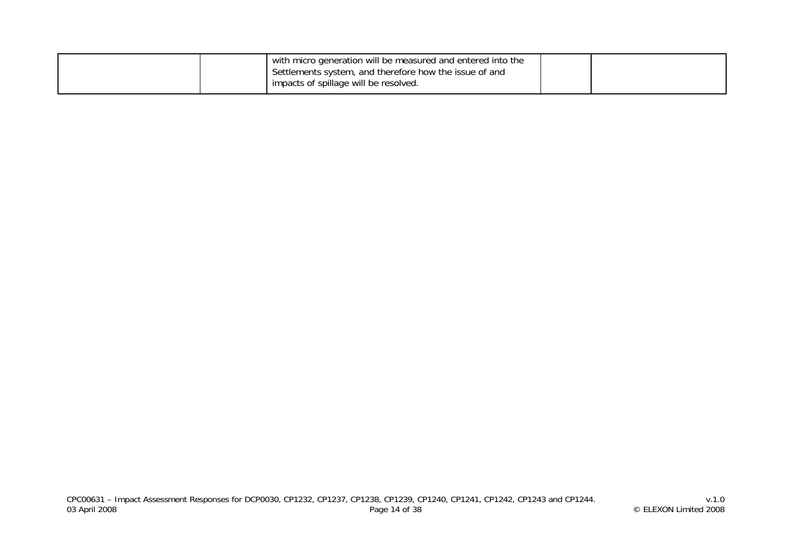|  |  |  |  | with micro generation will be measured and entered into the<br>Settlements system, and therefore how the issue of and<br>impacts of spillage will be resolved. |  |  |
|--|--|--|--|----------------------------------------------------------------------------------------------------------------------------------------------------------------|--|--|
|--|--|--|--|----------------------------------------------------------------------------------------------------------------------------------------------------------------|--|--|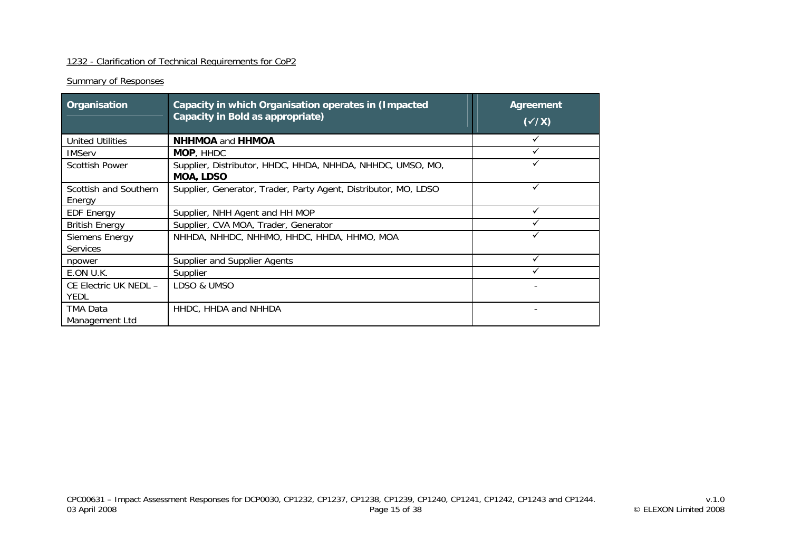## 1232 - Clarification of Technical Requirements for CoP2

## **Summary of Responses**

| Organisation                         | Capacity in which Organisation operates in (Impacted<br>Capacity in Bold as appropriate) | Agreement<br>$(\sqrt{X})$ |
|--------------------------------------|------------------------------------------------------------------------------------------|---------------------------|
| <b>United Utilities</b>              | <b>NHHMOA and HHMOA</b>                                                                  |                           |
| <b>IMServ</b>                        | MOP, HHDC                                                                                |                           |
| <b>Scottish Power</b>                | Supplier, Distributor, HHDC, HHDA, NHHDA, NHHDC, UMSO, MO,<br><b>MOA, LDSO</b>           |                           |
| Scottish and Southern<br>Energy      | Supplier, Generator, Trader, Party Agent, Distributor, MO, LDSO                          |                           |
| <b>EDF Energy</b>                    | Supplier, NHH Agent and HH MOP                                                           |                           |
| <b>British Energy</b>                | Supplier, CVA MOA, Trader, Generator                                                     |                           |
| Siemens Energy<br><b>Services</b>    | NHHDA, NHHDC, NHHMO, HHDC, HHDA, HHMO, MOA                                               |                           |
| npower                               | Supplier and Supplier Agents                                                             |                           |
| E.ON U.K.                            | Supplier                                                                                 |                           |
| CE Electric UK NEDL -<br><b>YEDL</b> | LDSO & UMSO                                                                              |                           |
| TMA Data<br>Management Ltd           | HHDC, HHDA and NHHDA                                                                     |                           |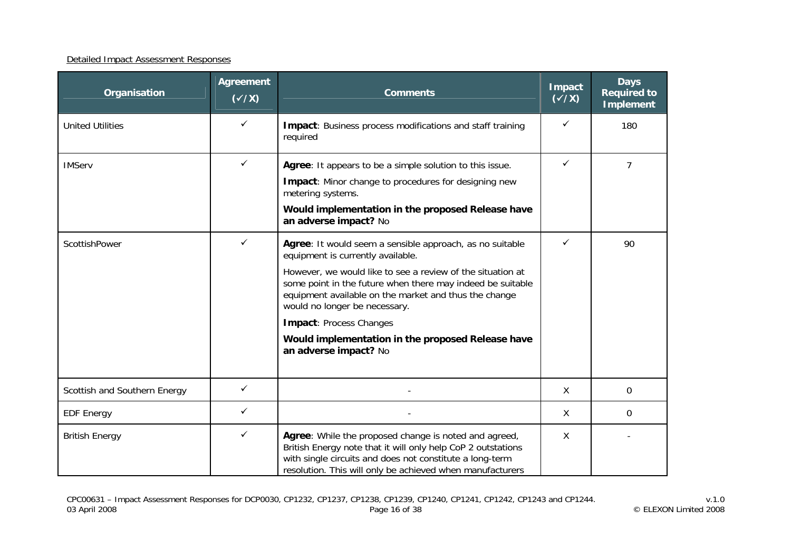#### Detailed Impact Assessment Responses

| Organisation                 | <b>Agreement</b><br>$(\sqrt{x})$ | <b>Comments</b>                                                                                                                                                                                                                                                                                                                                                                                                                     | Impact<br>$(\sqrt{x})$ | <b>Days</b><br><b>Required to</b><br><b>Implement</b> |
|------------------------------|----------------------------------|-------------------------------------------------------------------------------------------------------------------------------------------------------------------------------------------------------------------------------------------------------------------------------------------------------------------------------------------------------------------------------------------------------------------------------------|------------------------|-------------------------------------------------------|
| <b>United Utilities</b>      | ✓                                | <b>Impact:</b> Business process modifications and staff training<br>required                                                                                                                                                                                                                                                                                                                                                        | ✓                      | 180                                                   |
| <b>IMServ</b>                | ✓                                | Agree: It appears to be a simple solution to this issue.<br>Impact: Minor change to procedures for designing new<br>metering systems.<br>Would implementation in the proposed Release have<br>an adverse impact? No                                                                                                                                                                                                                 |                        | $\overline{7}$                                        |
| ScottishPower                | ✓                                | Agree: It would seem a sensible approach, as no suitable<br>equipment is currently available.<br>However, we would like to see a review of the situation at<br>some point in the future when there may indeed be suitable<br>equipment available on the market and thus the change<br>would no longer be necessary.<br><b>Impact: Process Changes</b><br>Would implementation in the proposed Release have<br>an adverse impact? No | ✓                      | 90                                                    |
| Scottish and Southern Energy | $\checkmark$                     |                                                                                                                                                                                                                                                                                                                                                                                                                                     | X                      | $\Omega$                                              |
| <b>EDF Energy</b>            | $\checkmark$                     |                                                                                                                                                                                                                                                                                                                                                                                                                                     | X                      | 0                                                     |
| <b>British Energy</b>        | ✓                                | Agree: While the proposed change is noted and agreed,<br>British Energy note that it will only help CoP 2 outstations<br>with single circuits and does not constitute a long-term<br>resolution. This will only be achieved when manufacturers                                                                                                                                                                                      | X                      |                                                       |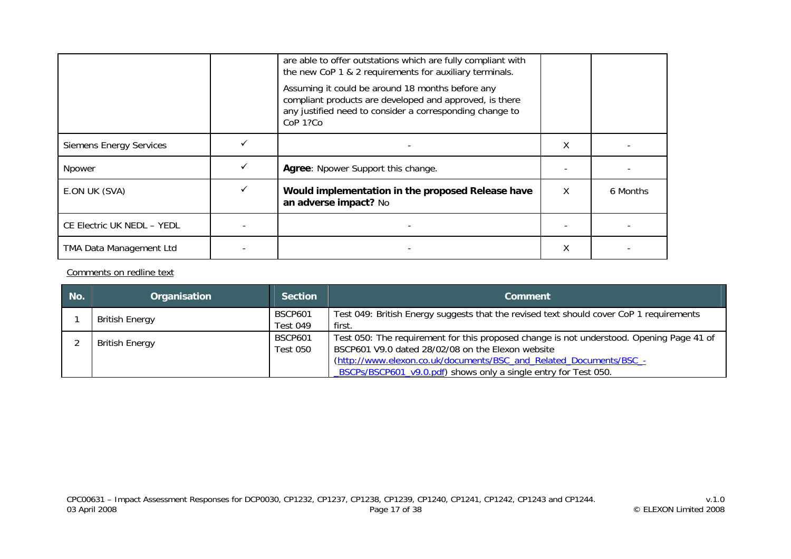|                                | are able to offer outstations which are fully compliant with<br>the new CoP 1 & 2 requirements for auxiliary terminals.                                                             |   |          |
|--------------------------------|-------------------------------------------------------------------------------------------------------------------------------------------------------------------------------------|---|----------|
|                                | Assuming it could be around 18 months before any<br>compliant products are developed and approved, is there<br>any justified need to consider a corresponding change to<br>CoP 1?Co |   |          |
| <b>Siemens Energy Services</b> |                                                                                                                                                                                     | χ |          |
| Npower                         | Agree: Npower Support this change.                                                                                                                                                  |   |          |
| E.ON UK (SVA)                  | Would implementation in the proposed Release have<br>an adverse impact? No                                                                                                          | X | 6 Months |
| CE Electric UK NEDL - YEDL     |                                                                                                                                                                                     |   |          |
| TMA Data Management Ltd        |                                                                                                                                                                                     | χ |          |

Comments on redline text

| No.                   | Organisation                                                                                                                          | <b>Section</b>                    | Comment                                                                                                                                       |  |  |
|-----------------------|---------------------------------------------------------------------------------------------------------------------------------------|-----------------------------------|-----------------------------------------------------------------------------------------------------------------------------------------------|--|--|
|                       | <b>British Energy</b>                                                                                                                 | <b>BSCP601</b><br><b>Test 049</b> | Test 049: British Energy suggests that the revised text should cover CoP 1 requirements<br>first.                                             |  |  |
| <b>British Energy</b> |                                                                                                                                       | <b>BSCP601</b><br>Test 050        | Test 050: The requirement for this proposed change is not understood. Opening Page 41 of<br>BSCP601 V9.0 dated 28/02/08 on the Elexon website |  |  |
|                       | (http://www.elexon.co.uk/documents/BSC_and_Related_Documents/BSC_-<br>BSCPs/BSCP601_v9.0.pdf) shows only a single entry for Test 050. |                                   |                                                                                                                                               |  |  |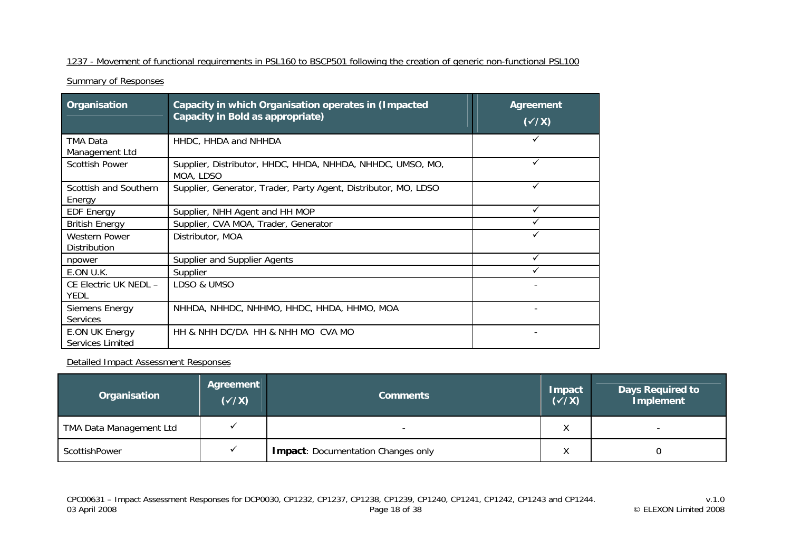## 1237 - Movement of functional requirements in PSL160 to BSCP501 following the creation of generic non-functional PSL100

**Summary of Responses** 

| Organisation                         | <b>Agreement</b><br>$(\sqrt{X})$                                        |              |  |  |  |  |
|--------------------------------------|-------------------------------------------------------------------------|--------------|--|--|--|--|
| <b>TMA Data</b><br>Management Ltd    |                                                                         |              |  |  |  |  |
| <b>Scottish Power</b>                | Supplier, Distributor, HHDC, HHDA, NHHDA, NHHDC, UMSO, MO,<br>MOA, LDSO |              |  |  |  |  |
| Scottish and Southern<br>Energy      | Supplier, Generator, Trader, Party Agent, Distributor, MO, LDSO         | ✓            |  |  |  |  |
| <b>EDF Energy</b>                    | Supplier, NHH Agent and HH MOP                                          | $\checkmark$ |  |  |  |  |
| <b>British Energy</b>                | Supplier, CVA MOA, Trader, Generator                                    |              |  |  |  |  |
| <b>Western Power</b><br>Distribution | Distributor, MOA                                                        |              |  |  |  |  |
| npower                               | Supplier and Supplier Agents                                            | $\checkmark$ |  |  |  |  |
| E.ON U.K.                            | Supplier                                                                |              |  |  |  |  |
| CE Electric UK NEDL -<br><b>YEDL</b> | LDSO & UMSO                                                             |              |  |  |  |  |
| Siemens Energy<br><b>Services</b>    | NHHDA, NHHDC, NHHMO, HHDC, HHDA, HHMO, MOA                              |              |  |  |  |  |
| E.ON UK Energy<br>Services Limited   | HH & NHH DC/DA HH & NHH MO CVA MO                                       |              |  |  |  |  |

| Organisation            | Agreement<br>$(\sqrt{x})$ | <b>Comments</b>                           | Impact<br>$(\checkmark/\checkmark)$ | <b>Days Required to</b><br>Implement |
|-------------------------|---------------------------|-------------------------------------------|-------------------------------------|--------------------------------------|
| TMA Data Management Ltd |                           | -                                         | $\lambda$<br>$\sqrt{ }$             |                                      |
| ScottishPower           |                           | <b>Impact: Documentation Changes only</b> | $\lambda$                           |                                      |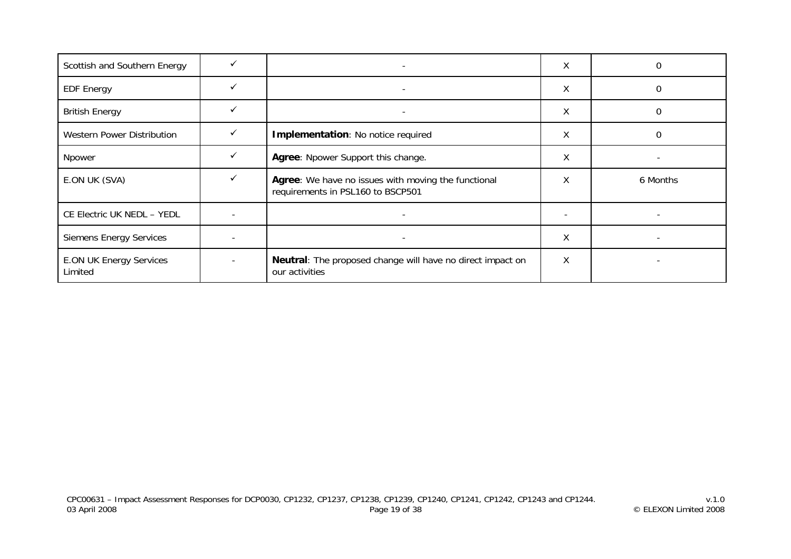| Scottish and Southern Energy              |   | $\overline{\phantom{a}}$                                                                 | X |          |
|-------------------------------------------|---|------------------------------------------------------------------------------------------|---|----------|
| <b>EDF Energy</b>                         |   |                                                                                          | Χ | 0        |
| <b>British Energy</b>                     |   | $\overline{\phantom{0}}$                                                                 | X |          |
| Western Power Distribution                |   | Implementation: No notice required                                                       | X | 0        |
| Npower                                    | ✓ | Agree: Npower Support this change.                                                       | X |          |
| E.ON UK (SVA)                             | ✓ | Agree: We have no issues with moving the functional<br>requirements in PSL160 to BSCP501 | X | 6 Months |
| CE Electric UK NEDL - YEDL                |   |                                                                                          |   |          |
| <b>Siemens Energy Services</b>            |   | $\overline{\phantom{a}}$                                                                 | X |          |
| <b>E.ON UK Energy Services</b><br>Limited |   | Neutral: The proposed change will have no direct impact on<br>our activities             | Χ |          |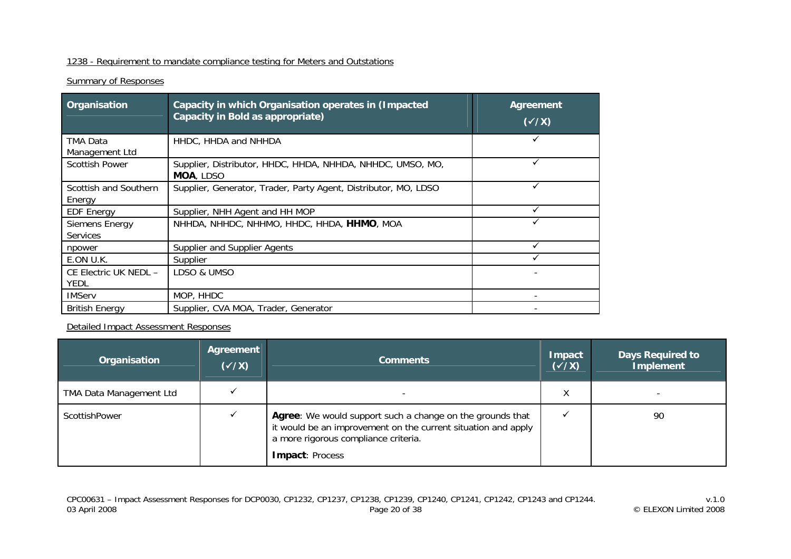## 1238 - Requirement to mandate compliance testing for Meters and Outstations

## **Summary of Responses**

| Organisation                         | <b>Agreement</b><br>$(\sqrt{X})$                                |  |  |  |  |  |
|--------------------------------------|-----------------------------------------------------------------|--|--|--|--|--|
| TMA Data<br>Management Ltd           | HHDC, HHDA and NHHDA                                            |  |  |  |  |  |
| <b>Scottish Power</b>                |                                                                 |  |  |  |  |  |
| Scottish and Southern<br>Energy      | Supplier, Generator, Trader, Party Agent, Distributor, MO, LDSO |  |  |  |  |  |
| <b>EDF Energy</b>                    | Supplier, NHH Agent and HH MOP                                  |  |  |  |  |  |
| Siemens Energy<br><b>Services</b>    | NHHDA, NHHDC, NHHMO, HHDC, HHDA, HHMO, MOA                      |  |  |  |  |  |
| npower                               | Supplier and Supplier Agents                                    |  |  |  |  |  |
| E.ON U.K.                            | Supplier                                                        |  |  |  |  |  |
| CE Electric UK NEDL -<br><b>YEDL</b> | LDSO & UMSO                                                     |  |  |  |  |  |
| <b>IMServ</b>                        | MOP, HHDC                                                       |  |  |  |  |  |
| <b>British Energy</b>                | Supplier, CVA MOA, Trader, Generator                            |  |  |  |  |  |

| Organisation                   | Agreement<br>$(\sqrt{x})$ | <b>Comments</b>                                                                                                                                                                       | <b>Impact</b><br>$(\sqrt{x})$ | <b>Days Required to</b><br><b>Implement</b> |
|--------------------------------|---------------------------|---------------------------------------------------------------------------------------------------------------------------------------------------------------------------------------|-------------------------------|---------------------------------------------|
| <b>TMA Data Management Ltd</b> |                           |                                                                                                                                                                                       | Χ                             |                                             |
| ScottishPower                  |                           | Agree: We would support such a change on the grounds that<br>it would be an improvement on the current situation and apply<br>a more rigorous compliance criteria.<br>Impact: Process |                               | 90                                          |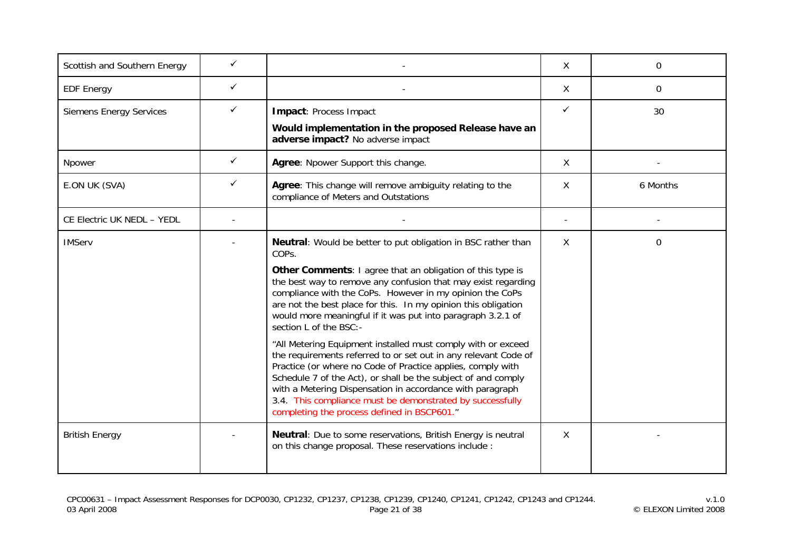| Scottish and Southern Energy   | ✓ |                                                                                                                                                                                                                                                                                                                                                                                                                                                                                                                                                                                                                                                                                                                                                                                                                                                                          | X            | 0        |
|--------------------------------|---|--------------------------------------------------------------------------------------------------------------------------------------------------------------------------------------------------------------------------------------------------------------------------------------------------------------------------------------------------------------------------------------------------------------------------------------------------------------------------------------------------------------------------------------------------------------------------------------------------------------------------------------------------------------------------------------------------------------------------------------------------------------------------------------------------------------------------------------------------------------------------|--------------|----------|
| <b>EDF Energy</b>              | ✓ |                                                                                                                                                                                                                                                                                                                                                                                                                                                                                                                                                                                                                                                                                                                                                                                                                                                                          | X            | 0        |
| <b>Siemens Energy Services</b> | ✓ | Impact: Process Impact<br>Would implementation in the proposed Release have an<br>adverse impact? No adverse impact                                                                                                                                                                                                                                                                                                                                                                                                                                                                                                                                                                                                                                                                                                                                                      | $\checkmark$ | 30       |
| Npower                         | ✓ | Agree: Npower Support this change.                                                                                                                                                                                                                                                                                                                                                                                                                                                                                                                                                                                                                                                                                                                                                                                                                                       | $\mathsf{X}$ |          |
| E.ON UK (SVA)                  | ✓ | Agree: This change will remove ambiguity relating to the<br>compliance of Meters and Outstations                                                                                                                                                                                                                                                                                                                                                                                                                                                                                                                                                                                                                                                                                                                                                                         | X            | 6 Months |
| CE Electric UK NEDL - YEDL     |   |                                                                                                                                                                                                                                                                                                                                                                                                                                                                                                                                                                                                                                                                                                                                                                                                                                                                          |              |          |
| <b>IMServ</b>                  |   | Neutral: Would be better to put obligation in BSC rather than<br>COPs.<br>Other Comments: I agree that an obligation of this type is<br>the best way to remove any confusion that may exist regarding<br>compliance with the CoPs. However in my opinion the CoPs<br>are not the best place for this. In my opinion this obligation<br>would more meaningful if it was put into paragraph 3.2.1 of<br>section L of the BSC:-<br>"All Metering Equipment installed must comply with or exceed<br>the requirements referred to or set out in any relevant Code of<br>Practice (or where no Code of Practice applies, comply with<br>Schedule 7 of the Act), or shall be the subject of and comply<br>with a Metering Dispensation in accordance with paragraph<br>3.4. This compliance must be demonstrated by successfully<br>completing the process defined in BSCP601." | X            | 0        |
| <b>British Energy</b>          |   | Neutral: Due to some reservations, British Energy is neutral<br>on this change proposal. These reservations include :                                                                                                                                                                                                                                                                                                                                                                                                                                                                                                                                                                                                                                                                                                                                                    | X            |          |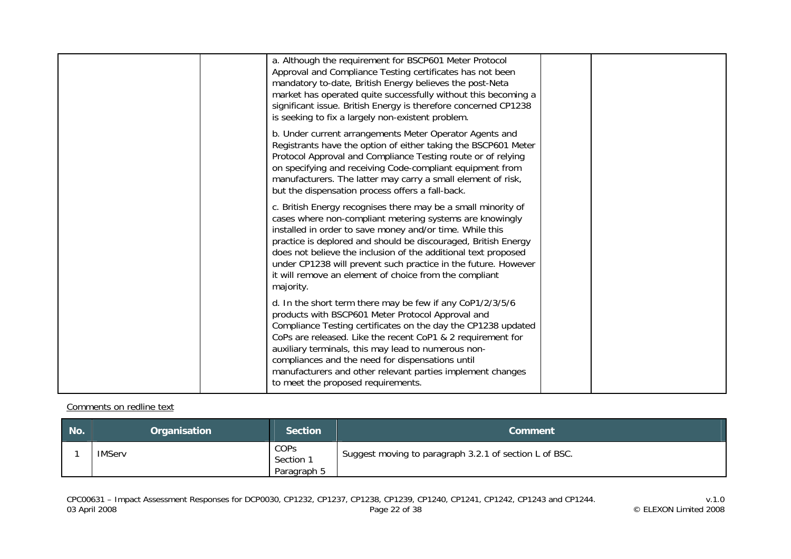| a. Although the requirement for BSCP601 Meter Protocol<br>Approval and Compliance Testing certificates has not been<br>mandatory to-date, British Energy believes the post-Neta<br>market has operated quite successfully without this becoming a<br>significant issue. British Energy is therefore concerned CP1238<br>is seeking to fix a largely non-existent problem.                                                                                          |  |
|--------------------------------------------------------------------------------------------------------------------------------------------------------------------------------------------------------------------------------------------------------------------------------------------------------------------------------------------------------------------------------------------------------------------------------------------------------------------|--|
| b. Under current arrangements Meter Operator Agents and<br>Registrants have the option of either taking the BSCP601 Meter<br>Protocol Approval and Compliance Testing route or of relying<br>on specifying and receiving Code-compliant equipment from<br>manufacturers. The latter may carry a small element of risk,<br>but the dispensation process offers a fall-back.                                                                                         |  |
| c. British Energy recognises there may be a small minority of<br>cases where non-compliant metering systems are knowingly<br>installed in order to save money and/or time. While this<br>practice is deplored and should be discouraged, British Energy<br>does not believe the inclusion of the additional text proposed<br>under CP1238 will prevent such practice in the future. However<br>it will remove an element of choice from the compliant<br>majority. |  |
| d. In the short term there may be few if any CoP1/2/3/5/6<br>products with BSCP601 Meter Protocol Approval and<br>Compliance Testing certificates on the day the CP1238 updated<br>CoPs are released. Like the recent CoP1 & 2 requirement for<br>auxiliary terminals, this may lead to numerous non-<br>compliances and the need for dispensations until<br>manufacturers and other relevant parties implement changes<br>to meet the proposed requirements.      |  |

#### Comments on redline text

| No. | Organisation  | <b>Section</b>                   | <b>Comment</b>                                         |
|-----|---------------|----------------------------------|--------------------------------------------------------|
|     | <b>IMServ</b> | COPS<br>Section 1<br>Paragraph 5 | Suggest moving to paragraph 3.2.1 of section L of BSC. |

v.1.0<br>v.1.0<br>Page 22 of 38 Page 22 of 38 Page 22 of 38 CP1241, CP1242, CP1243 and CP1244.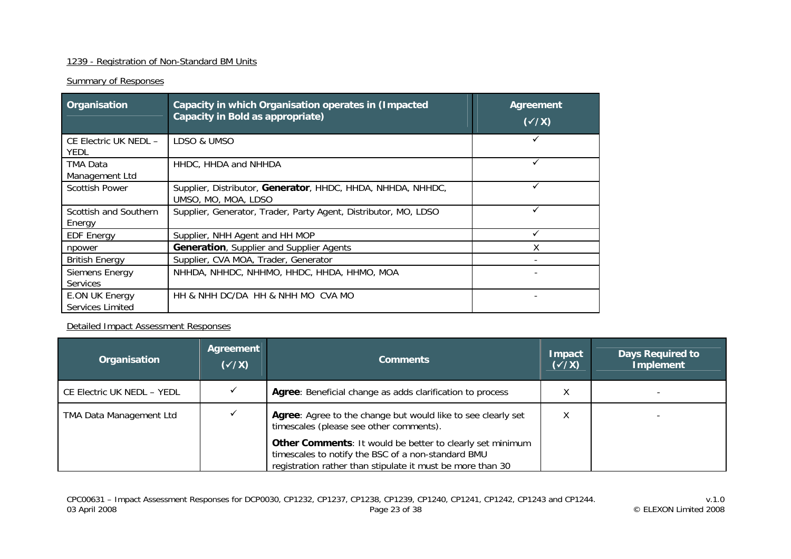## 1239 - Registration of Non-Standard BM Units

## **Summary of Responses**

| Organisation                         | Capacity in which Organisation operates in (Impacted<br>Capacity in Bold as appropriate) | <b>Agreement</b><br>$(\sqrt{X})$ |
|--------------------------------------|------------------------------------------------------------------------------------------|----------------------------------|
| CE Electric UK NEDL -<br><b>YEDL</b> | LDSO & UMSO                                                                              |                                  |
| TMA Data<br>Management Ltd           | HHDC, HHDA and NHHDA                                                                     |                                  |
| <b>Scottish Power</b>                | Supplier, Distributor, Generator, HHDC, HHDA, NHHDA, NHHDC,<br>UMSO, MO, MOA, LDSO       |                                  |
| Scottish and Southern<br>Energy      | Supplier, Generator, Trader, Party Agent, Distributor, MO, LDSO                          |                                  |
| <b>EDF Energy</b>                    | Supplier, NHH Agent and HH MOP                                                           |                                  |
| npower                               | <b>Generation, Supplier and Supplier Agents</b>                                          |                                  |
| <b>British Energy</b>                | Supplier, CVA MOA, Trader, Generator                                                     |                                  |
| Siemens Energy<br><b>Services</b>    | NHHDA, NHHDC, NHHMO, HHDC, HHDA, HHMO, MOA                                               |                                  |
| E.ON UK Energy<br>Services Limited   | HH & NHH DC/DA HH & NHH MO CVA MO                                                        |                                  |

#### Detailed Impact Assessment Responses

| Organisation               | Agreement<br>$(\sqrt{x})$ | <b>Comments</b>                                                                                                                                                               | Impact<br>$(\sqrt{x})$ | <b>Days Required to</b><br><b>Implement</b> |
|----------------------------|---------------------------|-------------------------------------------------------------------------------------------------------------------------------------------------------------------------------|------------------------|---------------------------------------------|
| CE Electric UK NEDL - YEDL |                           | Agree: Beneficial change as adds clarification to process                                                                                                                     | Χ                      |                                             |
| TMA Data Management Ltd    |                           | Agree: Agree to the change but would like to see clearly set<br>timescales (please see other comments).                                                                       |                        |                                             |
|                            |                           | Other Comments: It would be better to clearly set minimum<br>timescales to notify the BSC of a non-standard BMU<br>registration rather than stipulate it must be more than 30 |                        |                                             |

v.1.0<br>v.1.0<br>Page 23 of 38 Page 23 of 38 Page 23 of 38 CP1241, CP1242, CP1243 and CP1244.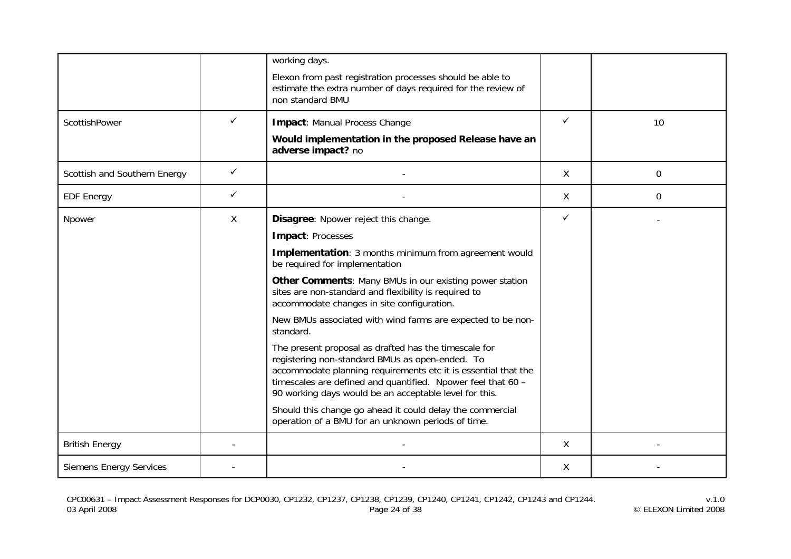|                                |   | working days.<br>Elexon from past registration processes should be able to<br>estimate the extra number of days required for the review of<br>non standard BMU                                                                                                                                                                                                                                                                                                                                                                                                                                                                                                                                                                                                                                                                |    |    |
|--------------------------------|---|-------------------------------------------------------------------------------------------------------------------------------------------------------------------------------------------------------------------------------------------------------------------------------------------------------------------------------------------------------------------------------------------------------------------------------------------------------------------------------------------------------------------------------------------------------------------------------------------------------------------------------------------------------------------------------------------------------------------------------------------------------------------------------------------------------------------------------|----|----|
| ScottishPower                  | ✓ | <b>Impact: Manual Process Change</b><br>Would implementation in the proposed Release have an<br>adverse impact? no                                                                                                                                                                                                                                                                                                                                                                                                                                                                                                                                                                                                                                                                                                            | ✓  | 10 |
| Scottish and Southern Energy   | ✓ |                                                                                                                                                                                                                                                                                                                                                                                                                                                                                                                                                                                                                                                                                                                                                                                                                               | X  | 0  |
| <b>EDF Energy</b>              | ✓ |                                                                                                                                                                                                                                                                                                                                                                                                                                                                                                                                                                                                                                                                                                                                                                                                                               | X. | 0  |
| Npower                         | X | Disagree: Npower reject this change.<br>Impact: Processes<br>Implementation: 3 months minimum from agreement would<br>be required for implementation<br>Other Comments: Many BMUs in our existing power station<br>sites are non-standard and flexibility is required to<br>accommodate changes in site configuration.<br>New BMUs associated with wind farms are expected to be non-<br>standard.<br>The present proposal as drafted has the timescale for<br>registering non-standard BMUs as open-ended. To<br>accommodate planning requirements etc it is essential that the<br>timescales are defined and quantified. Npower feel that 60 -<br>90 working days would be an acceptable level for this.<br>Should this change go ahead it could delay the commercial<br>operation of a BMU for an unknown periods of time. | ✓  |    |
| <b>British Energy</b>          |   |                                                                                                                                                                                                                                                                                                                                                                                                                                                                                                                                                                                                                                                                                                                                                                                                                               | X  |    |
| <b>Siemens Energy Services</b> |   |                                                                                                                                                                                                                                                                                                                                                                                                                                                                                                                                                                                                                                                                                                                                                                                                                               | X  |    |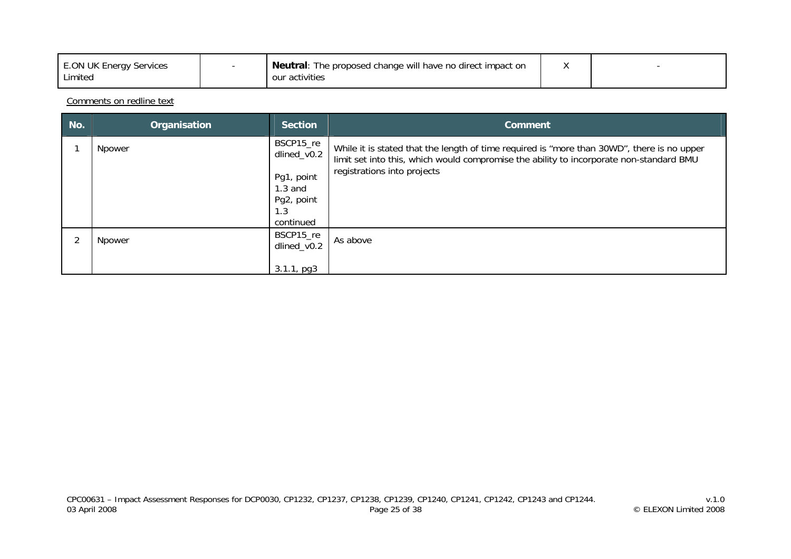| <b>E.ON UK Energy Services</b><br>Limited |  | <b>Neutral:</b> The proposed change will have no direct impact on<br>our activities |  |  |
|-------------------------------------------|--|-------------------------------------------------------------------------------------|--|--|
|-------------------------------------------|--|-------------------------------------------------------------------------------------|--|--|

Comments on redline text

| No. | Organisation | <b>Section</b>                                                                        | <b>Comment</b>                                                                                                                                                                                                       |
|-----|--------------|---------------------------------------------------------------------------------------|----------------------------------------------------------------------------------------------------------------------------------------------------------------------------------------------------------------------|
|     | Npower       | BSCP15_re<br>dlined_v0.2<br>Pg1, point<br>$1.3$ and<br>Pg2, point<br>1.3<br>continued | While it is stated that the length of time required is "more than 30WD", there is no upper<br>limit set into this, which would compromise the ability to incorporate non-standard BMU<br>registrations into projects |
|     | Npower       | BSCP15_re<br>dlined_v0.2<br>$3.1.1$ , pg $3$                                          | As above                                                                                                                                                                                                             |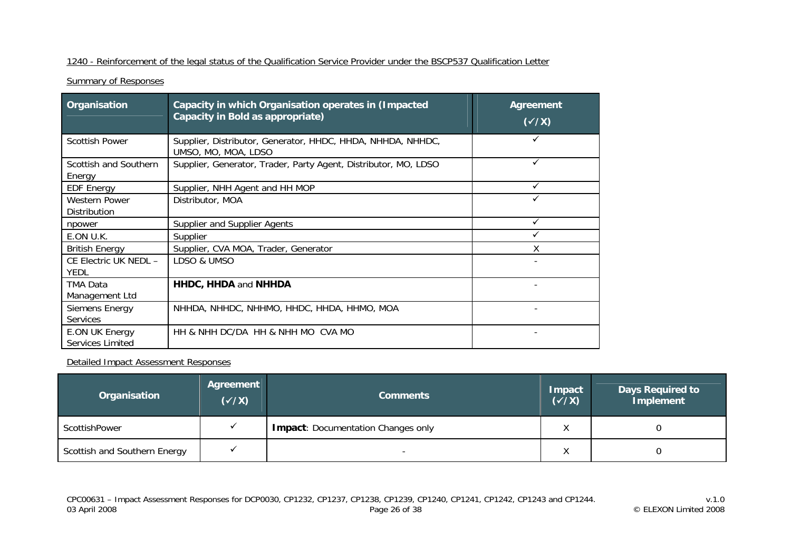#### 1240 - Reinforcement of the legal status of the Qualification Service Provider under the BSCP537 Qualification Letter

**Summary of Responses** 

| Organisation                              | Capacity in which Organisation operates in (Impacted<br>Capacity in Bold as appropriate) | <b>Agreement</b><br>$(\sqrt{x})$ |
|-------------------------------------------|------------------------------------------------------------------------------------------|----------------------------------|
| <b>Scottish Power</b>                     | Supplier, Distributor, Generator, HHDC, HHDA, NHHDA, NHHDC,<br>UMSO, MO, MOA, LDSO       | ✓                                |
| Scottish and Southern<br>Energy           | Supplier, Generator, Trader, Party Agent, Distributor, MO, LDSO                          | ✓                                |
| <b>EDF Energy</b>                         | Supplier, NHH Agent and HH MOP                                                           | ✓                                |
| <b>Western Power</b><br>Distribution      | Distributor, MOA                                                                         |                                  |
| npower                                    | Supplier and Supplier Agents                                                             | ✓                                |
| E.ON U.K.                                 | Supplier                                                                                 | ✓                                |
| <b>British Energy</b>                     | Supplier, CVA MOA, Trader, Generator                                                     | X                                |
| CE Electric UK NEDL -<br><b>YEDL</b>      | LDSO & UMSO                                                                              |                                  |
| <b>TMA Data</b><br>Management Ltd         | <b>HHDC, HHDA and NHHDA</b>                                                              |                                  |
| Siemens Energy<br><b>Services</b>         | NHHDA, NHHDC, NHHMO, HHDC, HHDA, HHMO, MOA                                               |                                  |
| <b>E.ON UK Energy</b><br>Services Limited | HH & NHH DC/DA HH & NHH MO CVA MO                                                        |                                  |

| Organisation                 | Agreement<br>$(\sqrt{x})$ | <b>Comments</b>                           | <b>Impact</b><br>$(\sqrt{X})$ | <b>Days Required to</b><br>Implement |
|------------------------------|---------------------------|-------------------------------------------|-------------------------------|--------------------------------------|
| ScottishPower                |                           | <b>Impact: Documentation Changes only</b> |                               |                                      |
| Scottish and Southern Energy |                           |                                           | $\lambda$                     |                                      |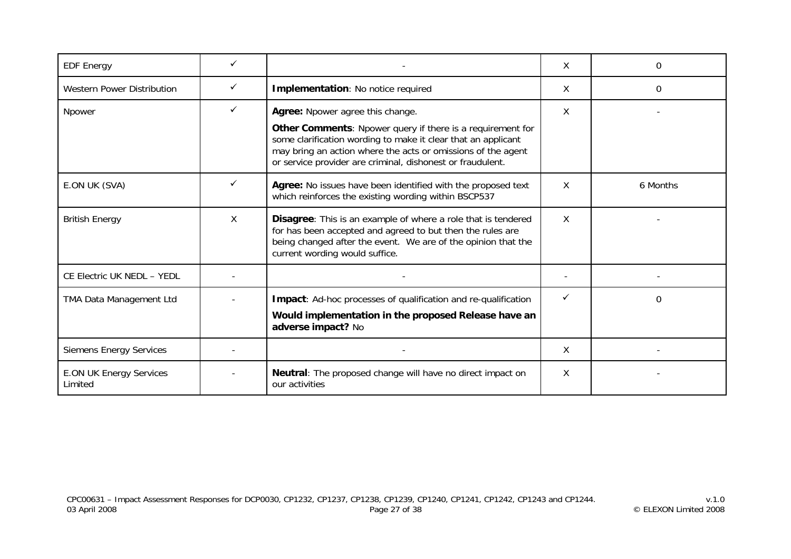| <b>EDF Energy</b>                         |              |                                                                                                                                                                                                                                                                                                    | X | 0        |
|-------------------------------------------|--------------|----------------------------------------------------------------------------------------------------------------------------------------------------------------------------------------------------------------------------------------------------------------------------------------------------|---|----------|
| <b>Western Power Distribution</b>         | $\checkmark$ | Implementation: No notice required                                                                                                                                                                                                                                                                 | X | 0        |
| Npower                                    | $\checkmark$ | X<br>Agree: Npower agree this change.<br>Other Comments: Npower query if there is a requirement for<br>some clarification wording to make it clear that an applicant<br>may bring an action where the acts or omissions of the agent<br>or service provider are criminal, dishonest or fraudulent. |   |          |
| E.ON UK (SVA)                             | ✓            | Agree: No issues have been identified with the proposed text<br>which reinforces the existing wording within BSCP537                                                                                                                                                                               | X | 6 Months |
| <b>British Energy</b>                     | X            | Disagree: This is an example of where a role that is tendered<br>for has been accepted and agreed to but then the rules are<br>being changed after the event. We are of the opinion that the<br>current wording would suffice.                                                                     | X |          |
| CE Electric UK NEDL - YEDL                |              |                                                                                                                                                                                                                                                                                                    |   |          |
| TMA Data Management Ltd                   |              | Impact: Ad-hoc processes of qualification and re-qualification<br>Would implementation in the proposed Release have an<br>adverse impact? No                                                                                                                                                       |   | 0        |
| <b>Siemens Energy Services</b>            |              |                                                                                                                                                                                                                                                                                                    | X |          |
| <b>E.ON UK Energy Services</b><br>Limited |              | Neutral: The proposed change will have no direct impact on<br>our activities                                                                                                                                                                                                                       | X |          |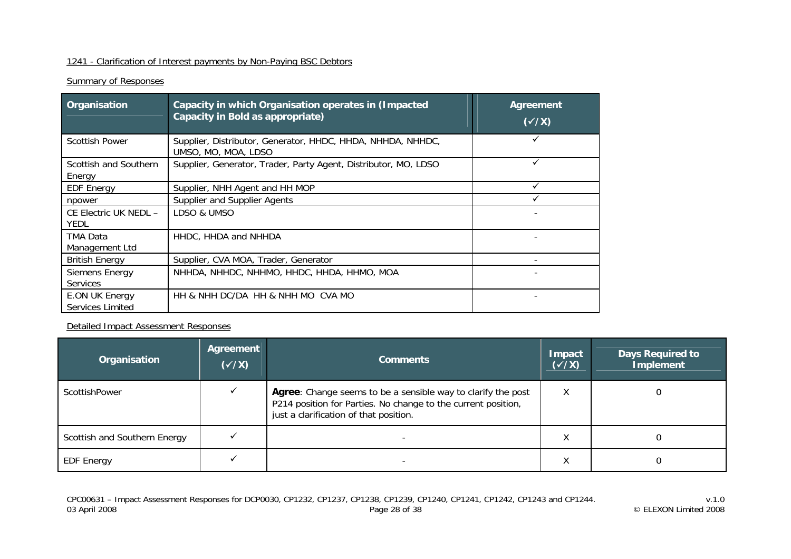## 1241 - Clarification of Interest payments by Non-Paying BSC Debtors

## **Summary of Responses**

| Organisation                         | Capacity in which Organisation operates in (Impacted<br>Capacity in Bold as appropriate) | <b>Agreement</b><br>$(\sqrt{X})$ |
|--------------------------------------|------------------------------------------------------------------------------------------|----------------------------------|
| <b>Scottish Power</b>                | Supplier, Distributor, Generator, HHDC, HHDA, NHHDA, NHHDC,<br>UMSO, MO, MOA, LDSO       |                                  |
| Scottish and Southern<br>Energy      | Supplier, Generator, Trader, Party Agent, Distributor, MO, LDSO                          |                                  |
| <b>EDF Energy</b>                    | Supplier, NHH Agent and HH MOP                                                           |                                  |
| npower                               | Supplier and Supplier Agents                                                             |                                  |
| CE Electric UK NEDL -<br><b>YEDL</b> | LDSO & UMSO                                                                              |                                  |
| TMA Data<br>Management Ltd           | HHDC, HHDA and NHHDA                                                                     |                                  |
| <b>British Energy</b>                | Supplier, CVA MOA, Trader, Generator                                                     |                                  |
| Siemens Energy<br><b>Services</b>    | NHHDA, NHHDC, NHHMO, HHDC, HHDA, HHMO, MOA                                               |                                  |
| E.ON UK Energy<br>Services Limited   | HH & NHH DC/DA HH & NHH MO CVA MO                                                        |                                  |

Detailed Impact Assessment Responses

| Organisation                 | Agreement<br>$(\sqrt{x})$ | <b>Comments</b>                                                                                                                                                         | Impact<br>$(\sqrt{x})$ | <b>Days Required to</b><br><b>Implement</b> |
|------------------------------|---------------------------|-------------------------------------------------------------------------------------------------------------------------------------------------------------------------|------------------------|---------------------------------------------|
| ScottishPower                |                           | Agree: Change seems to be a sensible way to clarify the post<br>P214 position for Parties. No change to the current position,<br>just a clarification of that position. | Χ                      |                                             |
| Scottish and Southern Energy |                           |                                                                                                                                                                         | ⋏                      |                                             |
| <b>EDF Energy</b>            |                           |                                                                                                                                                                         | ⋏                      |                                             |

v.1.0<br>v.1.0<br>Page 28 of 38 Page 28 of 38 Page 28 of 38 CP1241, CP1242, CP1243 and CP1244.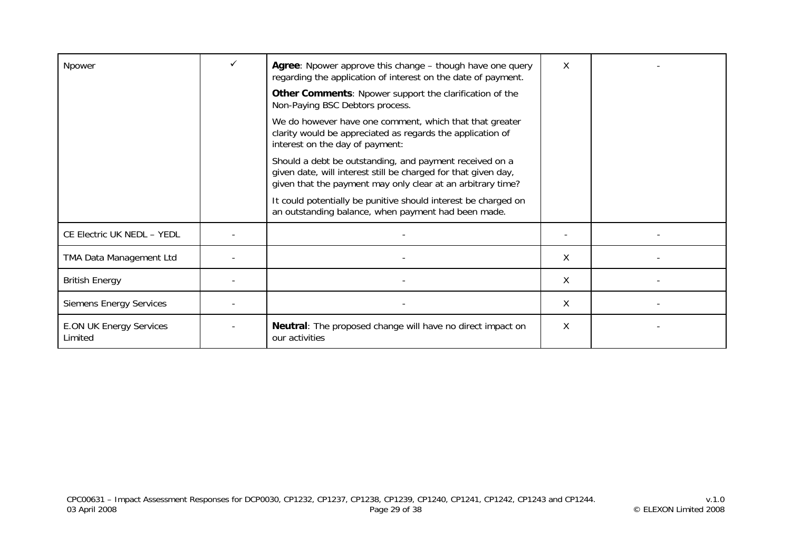| Npower                                    | Agree: Npower approve this change – though have one query<br>regarding the application of interest on the date of payment.                                                               | X |  |
|-------------------------------------------|------------------------------------------------------------------------------------------------------------------------------------------------------------------------------------------|---|--|
|                                           | <b>Other Comments: Npower support the clarification of the</b><br>Non-Paying BSC Debtors process.                                                                                        |   |  |
|                                           | We do however have one comment, which that that greater<br>clarity would be appreciated as regards the application of<br>interest on the day of payment:                                 |   |  |
|                                           | Should a debt be outstanding, and payment received on a<br>given date, will interest still be charged for that given day,<br>given that the payment may only clear at an arbitrary time? |   |  |
|                                           | It could potentially be punitive should interest be charged on<br>an outstanding balance, when payment had been made.                                                                    |   |  |
| CE Electric UK NEDL - YEDL                |                                                                                                                                                                                          |   |  |
| TMA Data Management Ltd                   |                                                                                                                                                                                          | X |  |
| <b>British Energy</b>                     |                                                                                                                                                                                          | X |  |
| <b>Siemens Energy Services</b>            |                                                                                                                                                                                          | X |  |
| <b>E.ON UK Energy Services</b><br>Limited | <b>Neutral:</b> The proposed change will have no direct impact on<br>our activities                                                                                                      | X |  |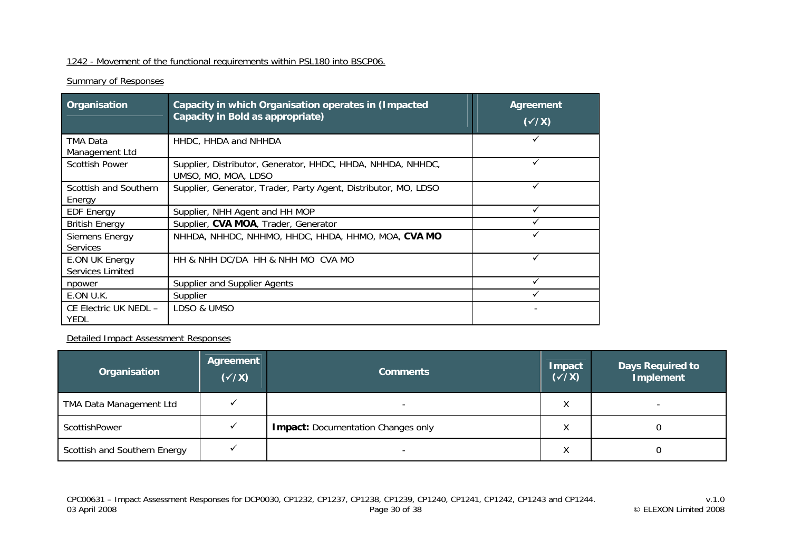## 1242 - Movement of the functional requirements within PSL180 into BSCP06.

## **Summary of Responses**

| Organisation                                     | Capacity in which Organisation operates in (Impacted<br>Capacity in Bold as appropriate) | <b>Agreement</b><br>$(\checkmark$ /X) |
|--------------------------------------------------|------------------------------------------------------------------------------------------|---------------------------------------|
| TMA Data<br>Management Ltd                       | HHDC, HHDA and NHHDA                                                                     |                                       |
| <b>Scottish Power</b>                            | Supplier, Distributor, Generator, HHDC, HHDA, NHHDA, NHHDC,<br>UMSO, MO, MOA, LDSO       |                                       |
| Scottish and Southern<br>Energy                  | Supplier, Generator, Trader, Party Agent, Distributor, MO, LDSO                          |                                       |
| <b>EDF Energy</b>                                | Supplier, NHH Agent and HH MOP                                                           |                                       |
| <b>British Energy</b>                            | Supplier, CVA MOA, Trader, Generator                                                     |                                       |
| Siemens Energy<br><b>Services</b>                | NHHDA, NHHDC, NHHMO, HHDC, HHDA, HHMO, MOA, CVA MO                                       |                                       |
| <b>E.ON UK Energy</b><br><b>Services Limited</b> | HH & NHH DC/DA HH & NHH MO CVA MO                                                        |                                       |
| npower                                           | Supplier and Supplier Agents                                                             |                                       |
| E.ON U.K.                                        | Supplier                                                                                 |                                       |
| CE Electric UK NEDL -<br><b>YEDL</b>             | LDSO & UMSO                                                                              |                                       |

| Organisation                 | Agreement<br>$(\sqrt{x})$ | <b>Comments</b>                           | Impact<br>$(\sqrt{x})$ | <b>Days Required to</b><br>Implement |
|------------------------------|---------------------------|-------------------------------------------|------------------------|--------------------------------------|
| TMA Data Management Ltd      |                           | $\overline{\phantom{a}}$                  | Χ                      |                                      |
| ScottishPower                |                           | <b>Impact:</b> Documentation Changes only | Χ                      |                                      |
| Scottish and Southern Energy |                           |                                           | Χ                      |                                      |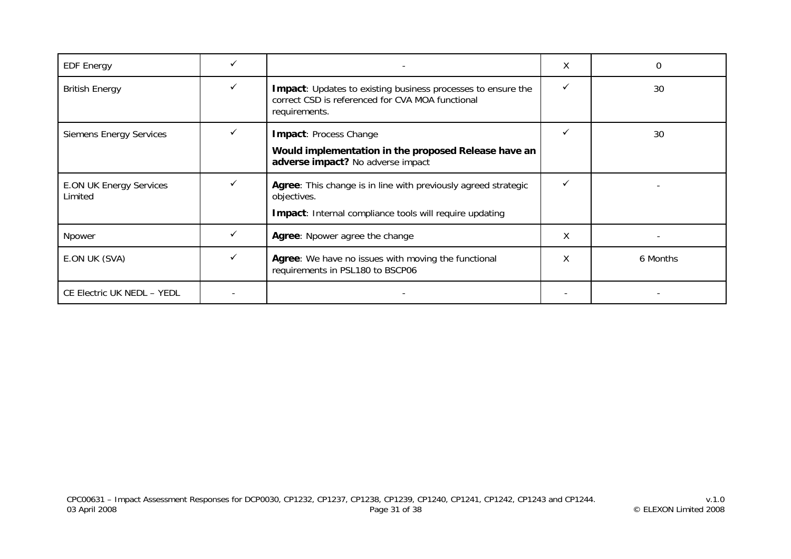| <b>EDF Energy</b>                         |   |                                                                                                                                                 | X | 0        |
|-------------------------------------------|---|-------------------------------------------------------------------------------------------------------------------------------------------------|---|----------|
| <b>British Energy</b>                     |   | Impact: Updates to existing business processes to ensure the<br>correct CSD is referenced for CVA MOA functional<br>requirements.               |   | 30       |
| <b>Siemens Energy Services</b>            | ✓ | Impact: Process Change<br>Would implementation in the proposed Release have an<br>adverse impact? No adverse impact                             |   | 30       |
| <b>E.ON UK Energy Services</b><br>Limited |   | Agree: This change is in line with previously agreed strategic<br>objectives.<br><b>Impact:</b> Internal compliance tools will require updating |   |          |
| Npower                                    |   | Agree: Npower agree the change                                                                                                                  | χ |          |
| E.ON UK (SVA)                             |   | Agree: We have no issues with moving the functional<br>requirements in PSL180 to BSCP06                                                         | X | 6 Months |
| CE Electric UK NEDL - YEDL                |   |                                                                                                                                                 |   |          |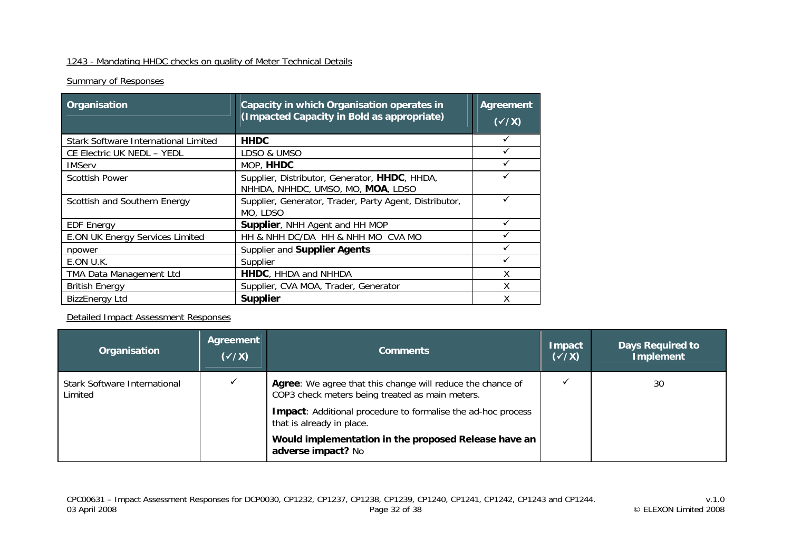## 1243 - Mandating HHDC checks on quality of Meter Technical Details

## **Summary of Responses**

| Organisation                           | Capacity in which Organisation operates in<br>(Impacted Capacity in Bold as appropriate) | <b>Agreement</b><br>$(\sqrt{X})$ |
|----------------------------------------|------------------------------------------------------------------------------------------|----------------------------------|
| Stark Software International Limited   | <b>HHDC</b>                                                                              |                                  |
| CE Electric UK NEDL - YEDL             | LDSO & UMSO                                                                              |                                  |
| <b>IMServ</b>                          | MOP, HHDC                                                                                |                                  |
| <b>Scottish Power</b>                  | Supplier, Distributor, Generator, HHDC, HHDA,<br>NHHDA, NHHDC, UMSO, MO, MOA, LDSO       |                                  |
| Scottish and Southern Energy           | Supplier, Generator, Trader, Party Agent, Distributor,<br>MO, LDSO                       |                                  |
| <b>EDF Energy</b>                      | Supplier, NHH Agent and HH MOP                                                           |                                  |
| <b>E.ON UK Energy Services Limited</b> | HH & NHH DC/DA HH & NHH MO CVA MO                                                        |                                  |
| npower                                 | Supplier and Supplier Agents                                                             |                                  |
| E.ON U.K.                              | Supplier                                                                                 |                                  |
| TMA Data Management Ltd                | HHDC, HHDA and NHHDA                                                                     | Χ                                |
| <b>British Energy</b>                  | Supplier, CVA MOA, Trader, Generator                                                     | x                                |
| <b>BizzEnergy Ltd</b>                  | <b>Supplier</b>                                                                          |                                  |

| Organisation                            | Agreement<br>$(\sqrt{x})$ | <b>Comments</b>                                                                                               | <b>Impact</b><br>$(\sqrt{X})$ | <b>Days Required to</b><br><b>Implement</b> |
|-----------------------------------------|---------------------------|---------------------------------------------------------------------------------------------------------------|-------------------------------|---------------------------------------------|
| Stark Software International<br>Limited |                           | Agree: We agree that this change will reduce the chance of<br>COP3 check meters being treated as main meters. |                               | 30                                          |
|                                         |                           | <b>Impact:</b> Additional procedure to formalise the ad-hoc process<br>that is already in place.              |                               |                                             |
|                                         |                           | Would implementation in the proposed Release have an<br>adverse impact? No                                    |                               |                                             |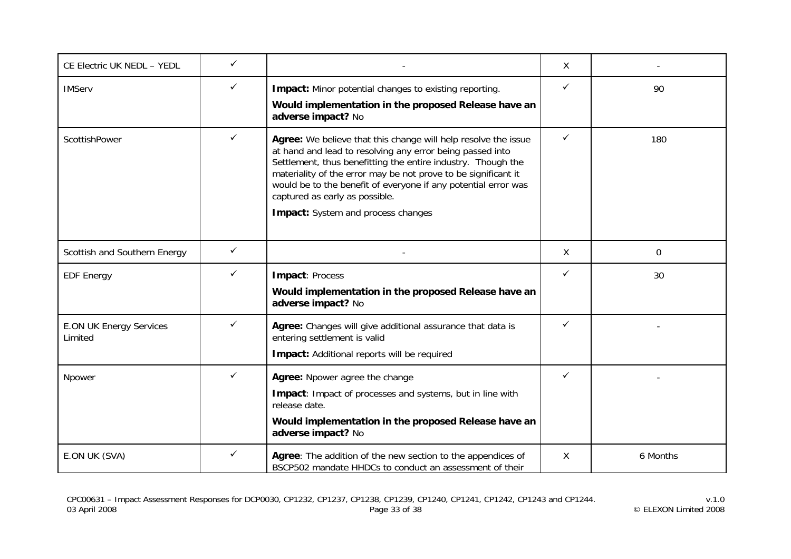| CE Electric UK NEDL - YEDL                | $\checkmark$ |                                                                                                                                                                                                                                                                                                                                                                                                         | X            |          |
|-------------------------------------------|--------------|---------------------------------------------------------------------------------------------------------------------------------------------------------------------------------------------------------------------------------------------------------------------------------------------------------------------------------------------------------------------------------------------------------|--------------|----------|
| <b>IMServ</b>                             | ✓            | Impact: Minor potential changes to existing reporting.<br>Would implementation in the proposed Release have an<br>adverse impact? No                                                                                                                                                                                                                                                                    | $\checkmark$ | 90       |
| ScottishPower                             | ✓            | Agree: We believe that this change will help resolve the issue<br>at hand and lead to resolving any error being passed into<br>Settlement, thus benefitting the entire industry. Though the<br>materiality of the error may be not prove to be significant it<br>would be to the benefit of everyone if any potential error was<br>captured as early as possible.<br>Impact: System and process changes | $\checkmark$ | 180      |
| Scottish and Southern Energy              | ✓            |                                                                                                                                                                                                                                                                                                                                                                                                         | X            | $\Omega$ |
| <b>EDF Energy</b>                         | ✓            | Impact: Process<br>Would implementation in the proposed Release have an<br>adverse impact? No                                                                                                                                                                                                                                                                                                           | ✓            | 30       |
| <b>E.ON UK Energy Services</b><br>Limited | ✓            | Agree: Changes will give additional assurance that data is<br>entering settlement is valid<br>Impact: Additional reports will be required                                                                                                                                                                                                                                                               | ✓            |          |
| Npower                                    | ✓            | Agree: Npower agree the change<br>Impact: Impact of processes and systems, but in line with<br>release date.<br>Would implementation in the proposed Release have an<br>adverse impact? No                                                                                                                                                                                                              | ✓            |          |
| E.ON UK (SVA)                             | ✓            | Agree: The addition of the new section to the appendices of<br>BSCP502 mandate HHDCs to conduct an assessment of their                                                                                                                                                                                                                                                                                  | Χ            | 6 Months |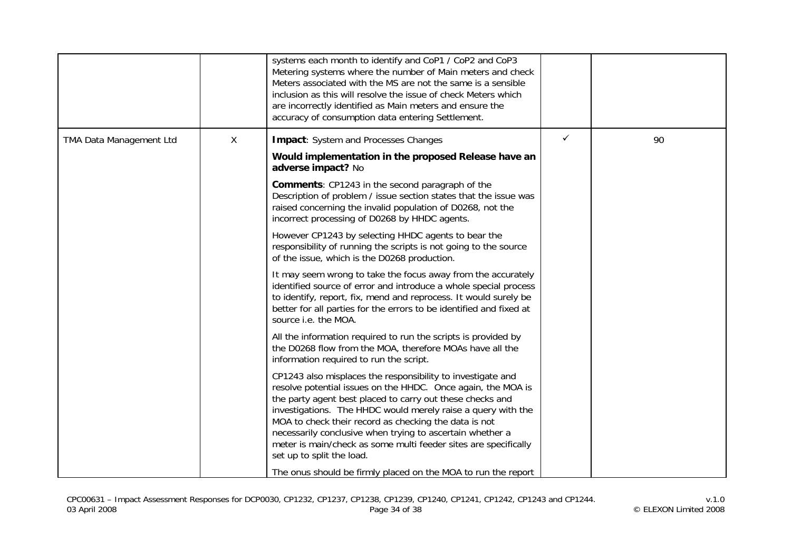|                         |   | systems each month to identify and CoP1 / CoP2 and CoP3<br>Metering systems where the number of Main meters and check<br>Meters associated with the MS are not the same is a sensible<br>inclusion as this will resolve the issue of check Meters which<br>are incorrectly identified as Main meters and ensure the<br>accuracy of consumption data entering Settlement.                                                                                                                                                                        |              |    |
|-------------------------|---|-------------------------------------------------------------------------------------------------------------------------------------------------------------------------------------------------------------------------------------------------------------------------------------------------------------------------------------------------------------------------------------------------------------------------------------------------------------------------------------------------------------------------------------------------|--------------|----|
| TMA Data Management Ltd | X | <b>Impact:</b> System and Processes Changes                                                                                                                                                                                                                                                                                                                                                                                                                                                                                                     | $\checkmark$ | 90 |
|                         |   | Would implementation in the proposed Release have an<br>adverse impact? No                                                                                                                                                                                                                                                                                                                                                                                                                                                                      |              |    |
|                         |   | <b>Comments:</b> CP1243 in the second paragraph of the<br>Description of problem / issue section states that the issue was<br>raised concerning the invalid population of D0268, not the<br>incorrect processing of D0268 by HHDC agents.                                                                                                                                                                                                                                                                                                       |              |    |
|                         |   | However CP1243 by selecting HHDC agents to bear the<br>responsibility of running the scripts is not going to the source<br>of the issue, which is the D0268 production.                                                                                                                                                                                                                                                                                                                                                                         |              |    |
|                         |   | It may seem wrong to take the focus away from the accurately<br>identified source of error and introduce a whole special process<br>to identify, report, fix, mend and reprocess. It would surely be<br>better for all parties for the errors to be identified and fixed at<br>source i.e. the MOA.                                                                                                                                                                                                                                             |              |    |
|                         |   | All the information required to run the scripts is provided by<br>the D0268 flow from the MOA, therefore MOAs have all the<br>information required to run the script.                                                                                                                                                                                                                                                                                                                                                                           |              |    |
|                         |   | CP1243 also misplaces the responsibility to investigate and<br>resolve potential issues on the HHDC. Once again, the MOA is<br>the party agent best placed to carry out these checks and<br>investigations. The HHDC would merely raise a query with the<br>MOA to check their record as checking the data is not<br>necessarily conclusive when trying to ascertain whether a<br>meter is main/check as some multi feeder sites are specifically<br>set up to split the load.<br>The onus should be firmly placed on the MOA to run the report |              |    |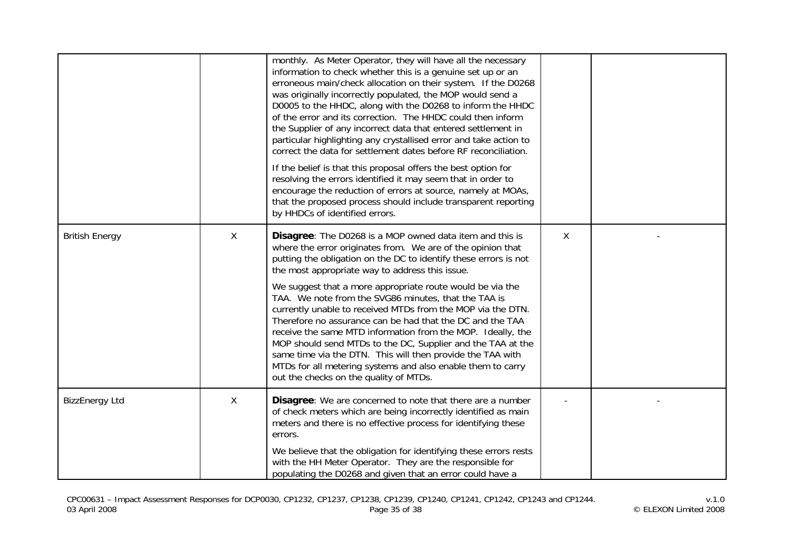|                       |              | monthly. As Meter Operator, they will have all the necessary<br>information to check whether this is a genuine set up or an<br>erroneous main/check allocation on their system. If the D0268<br>was originally incorrectly populated, the MOP would send a<br>D0005 to the HHDC, along with the D0268 to inform the HHDC<br>of the error and its correction. The HHDC could then inform<br>the Supplier of any incorrect data that entered settlement in<br>particular highlighting any crystallised error and take action to<br>correct the data for settlement dates before RF reconciliation.<br>If the belief is that this proposal offers the best option for<br>resolving the errors identified it may seem that in order to<br>encourage the reduction of errors at source, namely at MOAs,<br>that the proposed process should include transparent reporting<br>by HHDCs of identified errors. |   |  |
|-----------------------|--------------|--------------------------------------------------------------------------------------------------------------------------------------------------------------------------------------------------------------------------------------------------------------------------------------------------------------------------------------------------------------------------------------------------------------------------------------------------------------------------------------------------------------------------------------------------------------------------------------------------------------------------------------------------------------------------------------------------------------------------------------------------------------------------------------------------------------------------------------------------------------------------------------------------------|---|--|
| <b>British Energy</b> | $\mathsf{X}$ | Disagree: The D0268 is a MOP owned data item and this is<br>where the error originates from. We are of the opinion that<br>putting the obligation on the DC to identify these errors is not<br>the most appropriate way to address this issue.<br>We suggest that a more appropriate route would be via the<br>TAA. We note from the SVG86 minutes, that the TAA is<br>currently unable to received MTDs from the MOP via the DTN.<br>Therefore no assurance can be had that the DC and the TAA<br>receive the same MTD information from the MOP. Ideally, the<br>MOP should send MTDs to the DC, Supplier and the TAA at the<br>same time via the DTN. This will then provide the TAA with<br>MTDs for all metering systems and also enable them to carry<br>out the checks on the quality of MTDs.                                                                                                   | X |  |
| <b>BizzEnergy Ltd</b> | X            | Disagree: We are concerned to note that there are a number<br>of check meters which are being incorrectly identified as main<br>meters and there is no effective process for identifying these<br>errors.<br>We believe that the obligation for identifying these errors rests<br>with the HH Meter Operator. They are the responsible for<br>populating the D0268 and given that an error could have a                                                                                                                                                                                                                                                                                                                                                                                                                                                                                                |   |  |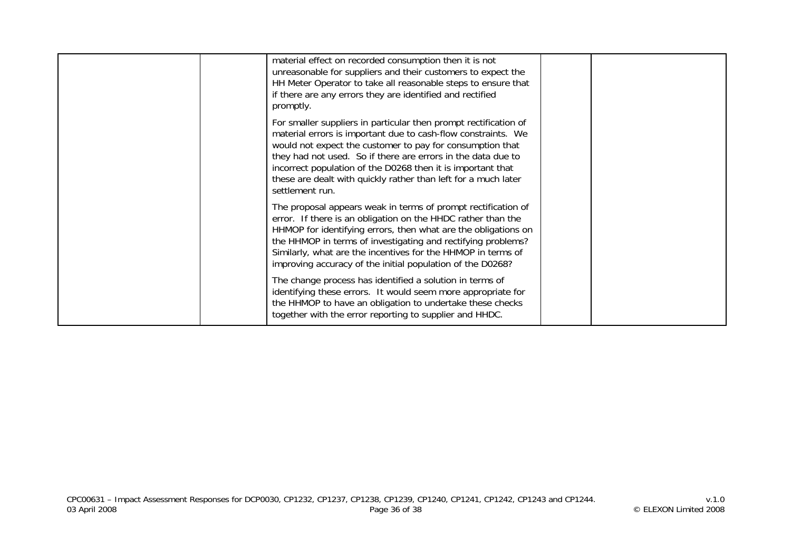| material effect on recorded consumption then it is not<br>unreasonable for suppliers and their customers to expect the<br>HH Meter Operator to take all reasonable steps to ensure that<br>if there are any errors they are identified and rectified<br>promptly.                                                                                                                                                  |  |
|--------------------------------------------------------------------------------------------------------------------------------------------------------------------------------------------------------------------------------------------------------------------------------------------------------------------------------------------------------------------------------------------------------------------|--|
| For smaller suppliers in particular then prompt rectification of<br>material errors is important due to cash-flow constraints. We<br>would not expect the customer to pay for consumption that<br>they had not used. So if there are errors in the data due to<br>incorrect population of the D0268 then it is important that<br>these are dealt with quickly rather than left for a much later<br>settlement run. |  |
| The proposal appears weak in terms of prompt rectification of<br>error. If there is an obligation on the HHDC rather than the<br>HHMOP for identifying errors, then what are the obligations on<br>the HHMOP in terms of investigating and rectifying problems?<br>Similarly, what are the incentives for the HHMOP in terms of<br>improving accuracy of the initial population of the D0268?                      |  |
| The change process has identified a solution in terms of<br>identifying these errors. It would seem more appropriate for<br>the HHMOP to have an obligation to undertake these checks<br>together with the error reporting to supplier and HHDC.                                                                                                                                                                   |  |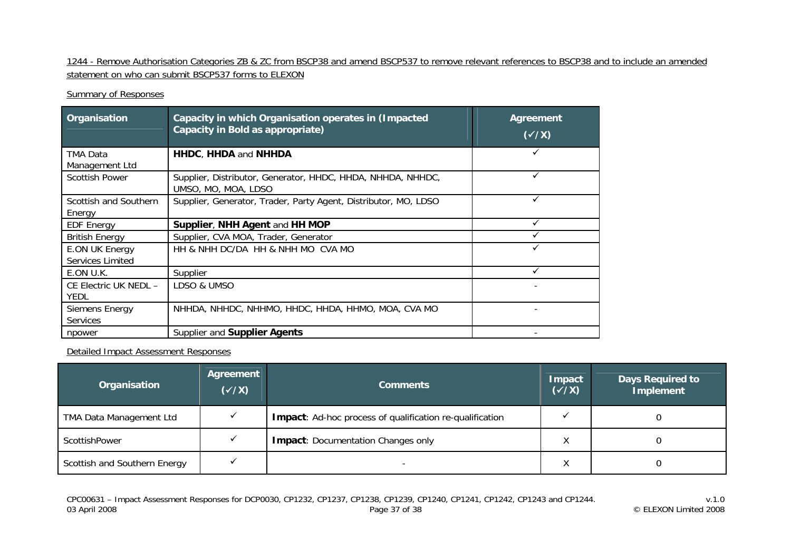1244 - Remove Authorisation Categories ZB & ZC from BSCP38 and amend BSCP537 to remove relevant references to BSCP38 and to include an amended statement on who can submit BSCP537 forms to ELEXON

### Summary of Responses

| Organisation                              | Capacity in which Organisation operates in (Impacted<br>Capacity in Bold as appropriate) | <b>Agreement</b><br>$(\sqrt{X})$ |
|-------------------------------------------|------------------------------------------------------------------------------------------|----------------------------------|
| TMA Data                                  | <b>HHDC, HHDA and NHHDA</b>                                                              |                                  |
| Management Ltd                            |                                                                                          |                                  |
| <b>Scottish Power</b>                     | Supplier, Distributor, Generator, HHDC, HHDA, NHHDA, NHHDC,<br>UMSO, MO, MOA, LDSO       | ✓                                |
| Scottish and Southern                     | Supplier, Generator, Trader, Party Agent, Distributor, MO, LDSO                          | ✓                                |
| Energy                                    |                                                                                          |                                  |
| <b>EDF Energy</b>                         | Supplier, NHH Agent and HH MOP                                                           |                                  |
| <b>British Energy</b>                     | Supplier, CVA MOA, Trader, Generator                                                     |                                  |
| E.ON UK Energy<br><b>Services Limited</b> | HH & NHH DC/DA HH & NHH MO CVA MO                                                        |                                  |
| E.ON U.K.                                 | Supplier                                                                                 |                                  |
| CE Electric UK NEDL -                     | LDSO & UMSO                                                                              |                                  |
| <b>YEDL</b>                               |                                                                                          |                                  |
| Siemens Energy                            | NHHDA, NHHDC, NHHMO, HHDC, HHDA, HHMO, MOA, CVA MO                                       |                                  |
| <b>Services</b>                           |                                                                                          |                                  |
| npower                                    | Supplier and Supplier Agents                                                             |                                  |

Detailed Impact Assessment Responses

| Organisation                   | Agreement<br>$(\sqrt{x})$ | <b>Comments</b>                                          | Impact<br>$(\checkmark\chi)$ | Days Required to<br>Implement |
|--------------------------------|---------------------------|----------------------------------------------------------|------------------------------|-------------------------------|
| <b>TMA Data Management Ltd</b> |                           | Impact: Ad-hoc process of qualification re-qualification |                              |                               |
| ScottishPower                  |                           | <b>Impact: Documentation Changes only</b>                | ∧                            |                               |
| Scottish and Southern Energy   |                           |                                                          | ∧                            |                               |

v.1.0<br>v.1.0<br>Page 37 of 38 Page 37 of 38 Page 37 of 38 CP1241, CP1242, CP1243 and CP1244.